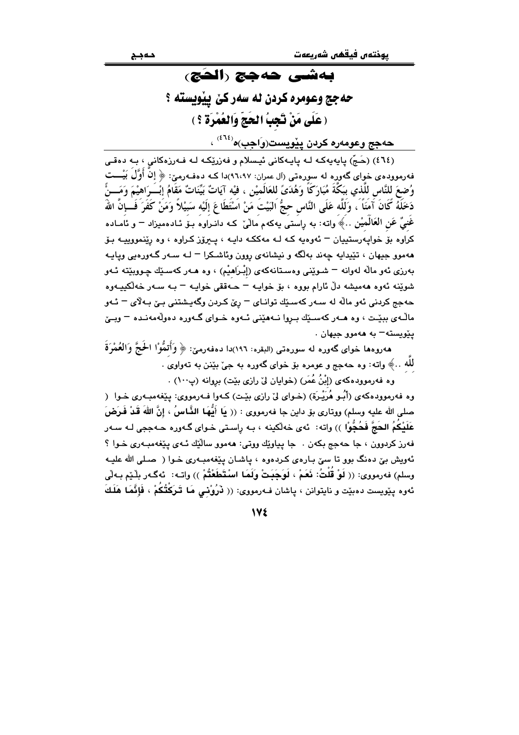# بەشى ھەھچ رالھج، حه جج وعومره کردن له سهر کێ پیویسته ؟ ( عَلَى مَنْ تَجِبُ الحَجّ وَالعُمْرَة ؟ )

حهجج وعومەره كردن پيويست(وَاجب)ه<sup>(٤٦٤)</sup> ،

(٤٦٤) (حَجّ) پايەيەكە لـه پايـەكانى ئيـسلام و فەزرێِكـه لـه فـەرزەكانى ، بـه دەقـى فهرمووده ی خوای گهوره له سورهتی (آل عمران: ۹٦،۹۷)دا کـه دهفـهرمیّ: ﴿ إِنْ أُوَّلْ بَيْـــت وُضِعَ للنَّاسِ للَّذي بِبَكَّةَ مُبَارَكًا وَهُدَىً للعَالَميْنِ ، فيْه آيَاتٌ بَيِّنَاتٌ مَقَامُ إِبْــَرَاهيْمَ وَمَـــنَّ دَخَلَهُ گَانَ آَمَنَاً ، وَلَلَّه عَلَى النَّاس حجُّ البَيْتَ مَنْ اسْتَطَاعَ إلَيْه سَبِيْلاً وَمَنْ كَفَرَ فَــإنّ اللهَ غَنىٌ عَنِ العَالَميْنِ …﴾ واته: به راستي يهكهم ماليٌ كـه دانـراوه بـفُ ئـادهميزاد – و ئامـاده کراوه بۆ خوايەرستييان <sup>ـــ</sup> ئەوەيە کـه لـه مەککـه دايـه ، يــيرۆز کـراوه ، وه رێنمووپيـه بـۆ ههموو جيهان ، تێيدايه چەند بەلگە و نيشانەي روون وئاشـكرا <sup>ـــ</sup> لــه ســەر گــەورەيي ويايــه بەرزى ئەو مالّە لەوانە – شىويْنى وەسىتانەكەي (إِبْرَاهِيْم) ، وە ھـەر كەسىيّك چـووبيّتـه ئـەو شوٽنه ئەوە ھەمىشە دلّ ئارام بووە ، بۆ خوابـه – جـەققى خوابـه – يـه سـەر خەلكىيـەوە حهجج کردنی ٹهو مالّه له سـهر کهسـێك توانـای = رێ کـردن وگهبـشتنی بـێ بـهلاّی = ئـهو مالّـهي ببيّـت ، وه هـهر كهسـێك بـروا نـههيّني ئـهوه خـواي گـهوره دهولّهمهنـده – وبـێ  $\cdot$  بێویسته $-$  به ههموو جبهان

هەروەها خواي گەورە لە سورەتى (البقرە: ١٩٦)دا دەفەرمىّ: ﴿ وَأَتَمُّوْا الْحَجَّ وَالْعُمْرَةَ للّه ..﴾ واته: وه حهجج و عومره بو خواي گهوره به جيّ بيّنن به تهواوي .

وه فهرموودهکهی (اِبْنُ عُمَر) (خوابان ليّ رازی بيّت) بروانه (پ١٠٠) .

وه فهرموودهکهي (أُسُو هُرَيْـرة) (خـواي ليّ رازي بيّـت) کـهوا فـهرمووي: بينغهمبـهري خـوا ( صلى الله عليه وسلم) ووتاري بۆ داين جا فەرمووي : (( يَا أَيُّهَا الذَّاسُ ، إنَّ اللهَ قَدْ فَرَضَ عَلَنكُمُ الحَجَّ فَحُجُّواْ )) وإنه: ئهي خهلكينه ، بـه راسـتي خـواي گـهوره حـهججي لـه سـهر فهرز کردوون ، جا حهجج بکهن . جا پياوٽِك ووتي: ههموو سالٽِك ئـهي پٽغهمبـهري خـوا ؟ ئەويش بيّ دەنگ بوو تا سيّ بـارەي كـردەوە ، ياشـان يـێغەمبـەرى خـوا ( صـلى الله عليـه وسلم) فەرمووى: (( لَوْ قُلْتُ: فَعَمْ ، لَوَجَبَتْ وَلَمَا اسْتَطَعْتُمْ )) واتـه: ئەگـەر بِلْـێم بـەلْي ئەوە پێويست دەبێت و نايتوانن ، پاشان فـﻪرمووى: (( ڵرُوُنْمى مَا تَـْرَكْتُكُمْ ، فَإِنَّمَا هَلَكَ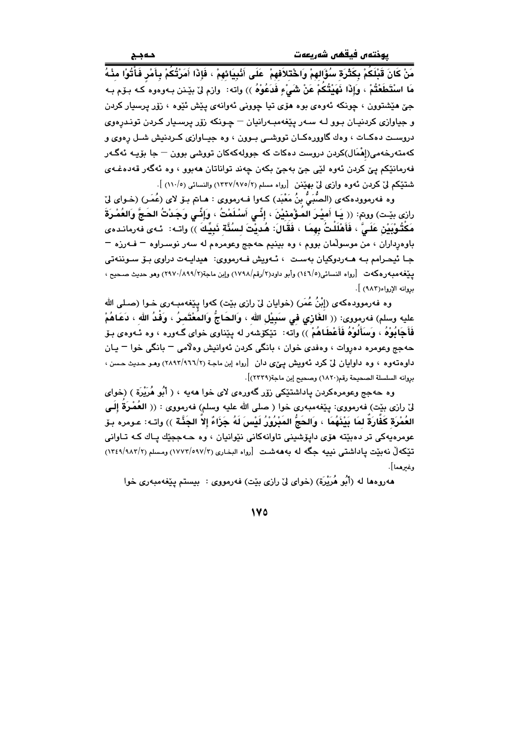.<br>مَنْ كَانَ قَبْلَكُمْ بِكَثْرَة سُؤَالهِمْ وَاخْتَلاَفهمْ ۚ عَلَى أَنْبِيَانَهِمْ ، فَإِذَا أَمَرْتُكُمْ بِأَمْرِ فَأْتُوْا مِنْـهُ مَا اسْتَطَعْتُمْ ، وَإِذَا نَهَيْتُكُمْ عَنْ شَيْءٍ فَدَعُوْهُ )) واته: وازم لیٰ بیٚنن بـهوهوه کـه بـوّم بـه جيّ هێشتوون ، چونکه ئهوهي بوه هۆي تيا چووني ئهوانهي پَٽش ئَٽوه ، زۆر پرسپار کردن و جياوازي کردنيـان بـوو لـه سـهر پێغهمبـهرانيان – چـونکه زۆر پرسـيار کـردن تونـدرهوي دروست دهکات ، وهك گاوورهکان تووشىي بىوون ، وه جيـاوازى كـردنيش شـل رِهوى و کهمتهرخهمی(إِهْمَال)کردن دروست دهکات که جوولهکهکان تووشی بوون – جا بۆیـه ئهگـهر فەرمانٽِكم يێ كردن ئەوە لٽِي جێ بەجێ بكەن چەند تواناتان ھەبوو ، وە ئەگەر قەدەغـەي شتنكم ليّ كردن ئەوە وازى ليّ بهيّنن [رواه مسلم (٢/١٣٢٧/٩٧٥) والنسائي (١١٠/٥) ].

وه فهرموودهكهى (الصُّبَيُّ بنُ مَعْبَد) كـهوا فـهرمووى : هـاـمّ بـوّ لاى (عُمَـر) (خـواى ليّ رازي بيّت) ووتم: (( يَـا أَميْـرَ المَـؤْمنيْنَ ، إنِّـي أَسْـلَمْتُ ، وَإِنِّـي وَجَدْتُ الحَـجَّ وَالعُمْـرَةَ مَكْتُوْبَيْنِ عَلَىَّ ، فَأَهْلَلْتُ بِهِمَا ، فَقَالَ: هُديْتَ لِسُنَّة نَبِيِّكَ )) واتـه: ئـهى فهرمانـدهى باوهرداران ، من موسولُمان بووم ، وه بينيم حهجج وعومرهم له سهر نوسـراوه – فــهرزه – جـا ئيحـرامم بـه هــەردوكيان بەسـت ، ئــەويش فــەرمووى: هيدايــەت دراوى بـۆ ســوننەتى ييّغهمبهرهكهت [رواه النسائي(١٤٦/٥) وأبو داود(٢/رقم/١٧٩٨) وإبن ماجة(٢/٨٩٩/٢) وهو حديث صحيح ، بروانه الإرواء(٩٨٣) ].

وه فهرموودهکهی (إِبْنُ عُمَرٍ) (خوایان لیٌ رازی بیّت) کهوا پیّغهمبـهری خـوا (صـلـی الله عليه وسلم) فەرمووى: (( الغَازِي فِي سَبِيْلِ اللهِ ، وَالحَاجُّ وَالمُعْتَمِرُ ، وَفْدُ الله ، دَعَاهُمْ فَأَجَابُوهُ ، وَسَأَلُوهُ فَأَعْطَاهُمْ )) واته: ۖ تَيْكَوْشهر له ينناوي خواي گـهوره ، وه ئـهوهي بـوّ حهجج وعومره دهروات ، وهفدي خوان ، بانگي كردن ئهوانيش وهلامي – بانگي خوا – يـان داوهتهوه ، وه داوایان لیٌ کرد تهویش ییٌی دان [رواه اِبن ماجة (٢/٢٩٦٢/١٦٦) وهو حدیث حسن ، بروانه السلسلة الصحيحة رقم(١٨٢٠) وصحيح إبن ماجة(٢٢٢٩)].

وه حهجج وعومرهکردن پاداشتێکی زۆر گەورەی لای خوا مەيە ، ( أَبُو مُرَيْرَة ) (خوای لىٌ رازى بيّت) فەرمووى: پيّغەمبەرى خوا ( صلى الله عليه وسلم) فەرمووى : (( العُمْرَةُ إِلَـى العُمْرَة كَفَارَةَ لمَا بَيْنَهُمَا ، وَالحَجُّ المَبْرُوْرُ لَيْسَ لَهُ جَزَاءٌ إِلاَّ الجَنَّة )) واتـه: عـومره بـوّ عومرهيهکي تر دهبێته هۆي دايۆشيني تاوانهکاني نێوانيان ، وه حـهججێك يـاك كـه تـاواني تَيْكَه لْ نهبيّت ياداشتي نييه جگه له بهههشت [رواه البخاري (١٧٧٢/٥٩٧/٢) ومسلم (١٢٤٩/٩٨٢/٢) وغىرھما].

هەروەها لە (أَبُو هُرَيْرَة) (خواي لِيْ رازي بِيْت) فەرمووى : بيستم يـێغەمبەرى خوا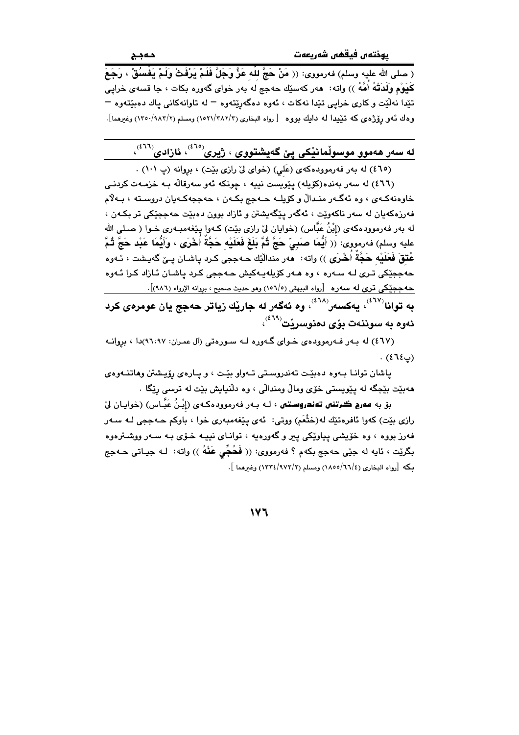.<br>( صلى الله عليه وسلم) فەرمووى: (( مَنْ حَجَّ للَّه عَزَّ وَجَلَّ فَلَمْ يَرْفَثْ وَلَمْ يَفْسُقْ ، رَجَعَ كَيَوْمٍ وَلَدَتْهُ أُمَّهُ )) واته: هەر كەسێك حەجج له بەر خواي گەورە بكات ، جا قسەي خرايي تێدا نهڵێت و کاري خرايي تێدا نهکات ، ئەوه دەگەرێتەوه – له تاوانەکانى ياك دەبێتەوە – وهك ئـهو رۆژەي كه تَيْيدا لـه دايك بووه [رواه البخاري (١٥٢١/٢٨٢/٣) ومسلم (١٣٥٠/٩٨٣/٢) وغيرهما].

له سەر ھەموو موسولْمانێِکی یێ گەیشتووی ، ژیری<sup>(٤٦٥)</sup>، ئازادی<sup>(٤٦٠)</sup>،

(٤٦٥) له بهر فهرمووده کهی (عَلی) (خوای لیّ رازی بیّت) ، بروانه (پ ١٠١) .

(٤٦٦) له سەر بەندە(كۆيلە) يێويست نييە ، چونكە ئەو سەرقالْه بـه خزمـەت كردنـى خاوهنهکهي ، وه ئهگهر منـدالٌ و کۆيلـه حـهجج بکـهن ، حهججهکـهيان دروسـته ، بـهلام فهرزهکهيان له سهر ناکهوێت ، ئهگهر يێگهيشتن و ئازاد بوون دهبێت حهججێکی تر بکـهن ، له بهر فهرموودهكهى (إِبْنُ عَبَّاس) (خوايان ليّ رازي بيّت) كـهوا يـيّغهمبـهري خـوا ( صـلى الله عليه وسلم) فهرمووى: (( أَيُّمَا صَبِيِّ حَجَّ ثُمَّ بَلَغَ فَعَلَيْه حَجَّةٌ أُخْرَى ، وَأَيُّمَا عَبْد حَجَّ ثُمَّ عُتقَ فَعَلَيْه حَجَّةً أَخْرَى )) واته: ههر منداليّك حـهججي كـرد ياشـان يــيّ گهيـشت ، ئـهوه حهججٽ<mark>کي تري لـه سـهره ، وه هـهر کۆيلهيـهکيش حـهججي کـرد ياشـان ئـازاد کـرا ئـهوه</mark> حهجچێکی تری له سهره  $\,$   $\,$ رواه البیهقی (۱۰٦/۰) وهو حدیث صحیح ، برِوانه الإرواء (۹۸٦)]. ىه توانا<sup>(٤٦٧)</sup>، يەكسەر<sup>(٤٦٨)</sup>، وە ئەگەر لە جارێك زياتر حەجج يان عومر*ەی* كرد ئەوە بە سوننەت بۆى دەنوسرێت<sup>(٤٦٩)</sup>،

(٤٦٧) له به رفه رموودهى خواى گهوره له سورهتى (آل عمران: ٩٦،٩٧)دا ، بروانه  $(515)$ .

پاشان توانا بهوه دهبيّت تهندروستي تهواو بيّت ، و پارهي رِوِّيشتن وهاتنهوهي ههبيّت بيْجگه له پيويستي خوّي ومالٌ ومندالّي ، وه دلّنيايش بيّت له ترسي ريّگا .

بۆ به **مەرج گرتنى تەندروستى ،** لـه بـەر فەرموودەكـەى (إِبْنُ عَبَّـاس) (خوايـان لىْ رازي بێت) کەوا ئافرەتێك لە(خَثْعَم) ووتى: ئەي پێغەمبەرى خوا ، باوکم حـﻪججى لـﻪ سـﻪر فهرز بووه ، وه خوّيشي پياوێکي پير و گهورهيه ، تواناي نيپـه خــوّي بـه سـهر ووشــترهوه بگرێت ، ئايه له جێي حهجج بکهم ؟ فهرمووي: (( فَحُجِّي عَنْهُ )) واته: لـه جيـاتي حـهجج بكه [رواه البخاري (٢٦/٤/١٨٥٥) ومسلم (٢/٩٧٢/٤/١٣٢٤) وغيرهما ].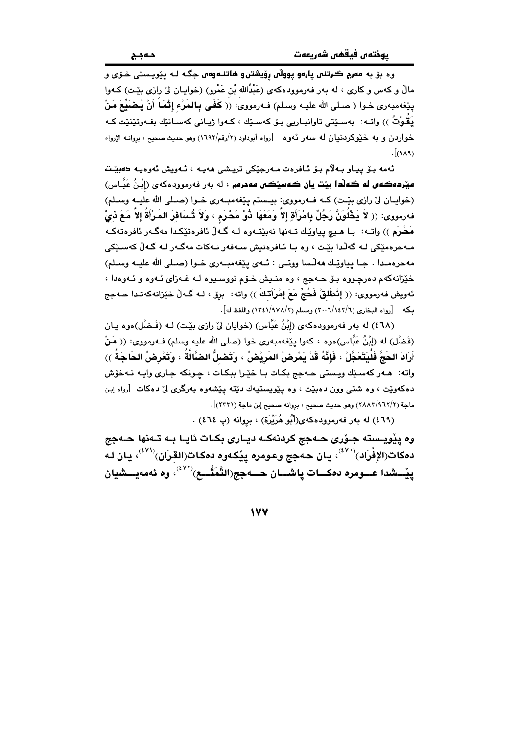.<br>وه بۆ به **مەرج گرتنى پارەو پوولا***ن* **رۆيشتن و ھاتنـەوەں** جگـه لـه پێويـستى خـۆى و مالٌ و کهس و کاری ، له بهر فهرموودهکهی (عَبْدُالله بْن عَمْرو) (خوایـان لیٌ رازی بیِّـت) کـهوا يثِغهمبهري خـوا ( صـلى الله عليـه وسـلم) فـهرمووي: (( كَفَـى بـالمَرْء إِتْمَاً أَنْ يُـضَيِّعَ مَنْ بَقُوْتُ )) واتـه: بهسـێتى تاوانبـاربى بـۆ كەسـێك ، كـهوا ژيـانى كەسـانێك بفـهوتێنێت كـه خواردن و به خُیْوکردنیان له سهر ئهوه [رواه أبوداود (۲/رقم/۱۹۹۲) وهو حدیث صحیح ، بروانـه الإرواء  $[AA]$ 

ئەمە بىق ييار بەلام بىق ئافرەت مەرجىكى تريشى ھەيە ، ئەريش ئەرەبە دەبيىت ميٽردهڪهن له ڪهلّدا بيٽت يان ڪهسٽڪن مهمرهم ، له بهر فهرموودهکهي (اِبْنُ عَبَّاس) (خوايـان ليّ رازي بيّـت) كـه فــهرمووي: بيـستم ييّغهمبــهري خــوا (صـلى الله عليــه وسـلم) فهرمووى: (( لاَ يَخْلُونَّ رَجُلٌ بِامْرَأَةٍ إلاَّ وَمَعَهَا ذُوْ مَحْرَم ، وَلاَ تُسَافرَ المَرْأَةُ إلاَّ مَعَ ذيْ مَحْرَم )) واتـه: بـا هـيچ پياوێـك تـهنها نهبێتـهوه لـه گـهِ ڵ ئافرهتێكـدا مهگـهر ئافرهتهكـه مەجرەمێكى لـە گەڵدا ىێت ، وە يا ئـافرەتيش سـەڧەر نـەكات مەگـەر لـە گـەڵ كەسـێكى مهجرهمندا ، جبا بياوٽيك هه لّسا ووتبي : ئيهي بيّغهمبيهري خبوا (صيلي الله عليـه وسيلم) خێزانهکهم دهرچووه بۆ حـهجج ، وه منـیش خـۆم نووسـیوه لـه غـهزای ئـهوه و ئـهوهدا ، ئەويش فەرمووى: (( إِنْطَلقْ فَحُجِّ مَعَ إِمْرَأَتْكَ )) واته: برق ، لـه گـهلّ خێزانەكەتـدا حــهجج بكه [رواه البخاري (٢٠٠٦/١٤٢/٦) ومسلم (٢/١٣٤١/٩٧٨) واللفظ له].

(٤٦٨) له بهر فهرموودهكهي (إبْنُ عَبَّاس) (خوايان ليِّ رازي بيِّت) لـه (فَـضْل)هوه يـان (فَضْل) له (إِبْنُ عَبَّاس)ەوە ، كەوا پێغەمبەرى خوا (صلى الله عليه وسلم) فـهرمووى: (( مَنْ أَرَادَ الحَجَّ فَلْيَتَعَجَّلْ ، فَإِنَّهُ قَدْ يَمْرِضُ المَرِيْضُ ، وَتَصْلُّ الضَّالَةُ ، وَتَعْرِضُ الحَاجَةُ ﴾) واته: هــهر كهسـێك ويستى حــهجج بكـات بـا خێـرا ببكـات ، چـونكه جـارى وايـه نـهخۆش دهکهوێت ، وه شتمی وون دهبێت ، وه پێویستیهك دێته پێشهوه بهرگری لیّ دهکات [رواه اِبن ماجة (٢٨٨٢/٩٦٢/٢) وهو حديث صحيح ، بروانه صحيح إبن ماجة (٢٣٣١)].

(٤٦٩) له بهر فهرموودهکهي(أَبُو هُرَيْرَة) ، بروانه (پ ٤٦٤) .

وه پێویسته جـۆری حـهجج کردنهکـه دیـاری بکـات ئایـا بـه تـهنها حـهجج دمكات(الإِفْرَاد) $^{(Y^*)^{\lambda}}$ ، يان حەجج وعومره پِيْكەوم دمكات(القِرَان) $^{(Y^*)^{\lambda}}$ ، يان لـه پِيْــشدا عـــومره دهكـــات پاشـــان حـــهجج(التَّمَتُّـــع)<sup>(٤٧٢)</sup>، وه ئهمهيـــشيان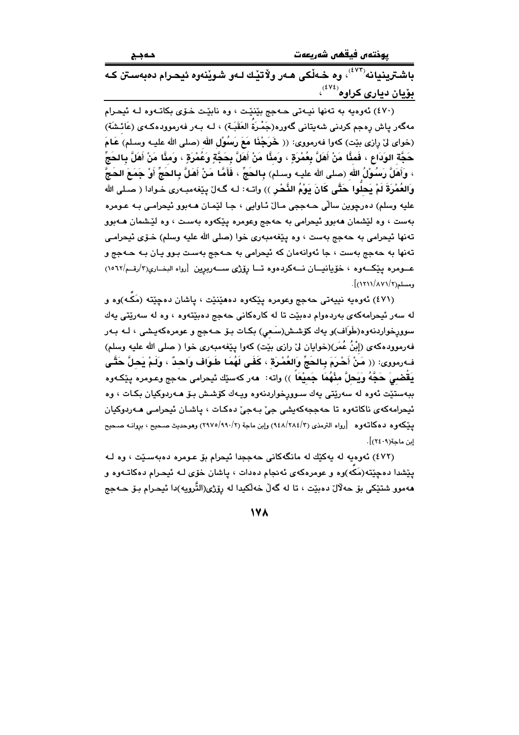يوختەں فيقفس شەريعەت

باشترینیانه<sup>(۷۲</sup><sup>)،</sup> وه خـهلْکی هـهر ولاٌتیْـك لـهو شـویْنهوه ئیحـرام دهبهسـتن كـه <mark>بۆيان ديارى كراوە<sup>(٤٧٤)</sup>،</mark>

(٤٧٠) ئەوەبە بە تەنھا نېبەتى جەجج بێنێت ، وە نابێت خۆي بكاتـەوە لـه ئېجرام مەگەر ياش رەجم كردنى شەيتانى گەورە(جَمْرَةَ العَقَبَـة) ، لـه بـەر فەرموودەكـەي (عَائـشَة) (خواي ليِّ رازي بيِّت) كهوا فهرمووي: (( خَرَجْنَا مَعَ رَسُوْلِ الله (صلى الله عليـه وسـلم) عَـامَ حَجَّة الوَدَاعِ ، فَمثَّا مَنْ أَهَلَّ بِعُمْرَةٍ ، وَمئَّا مَنْ أَهَلَّ بِحَجَّةٍ وَعُمْرَةٍ ، وَمئَّا مَنْ أَهَلَّ بِالحَجّ ، وَأَهَلَّ رَسُولُ الله (صلى الله عليـه وسـلم) بـالحَجِّ ، فَأَمَّا مَنْ أَهَلَّ بـالحَجِّ أَوْ جَمَعَ الحَجّ وَالعُمْرَةَ لَمْ يَحلُّوا حَتَّى كَانَ يَوْمُ النُّحْرِ ﴾) واتـه: لـه گـهلّ يـێفهمبـهري خـوادا ( صـلى الله عليه وسلم) دهرچوين ساٽي ڪهججي مـال ٽـاوابي ، جـا لٽمـان هـه-ٻوو ٽيچرامـي بـه عـومره بهست ، وه لێشمان ههبوو ئيحرامي به حهجج وعومره پێکهوه بهست ، وه لێشمان هـهبوو تەنھا ئیحرامی بە حەجج بەست ، وہ پێغەمبەری خوا (صلى الله علیه وسلم) خـۆی ئیحرامـی تهنها به حهجج بهست ، جا ئهوانهمان که ئیحرامی به حـهجج بهسـت بـوو پـان بـه حـهجج و عــومره يێكــهوه ، خۆيانيــان نــهكردهوه تــا رۆژى ســهربرين [رواه البخـارى(٣/رقـم/١٥٦٢)  $\lceil (1511/AY1/T) \rceil$ ، ومسلم

(٤٧١) ئەوەيە نييەتى حەجج وعومرە يێكەوە دەھێنێت ، ياشان دەچێتە (مَكە)وە و له سهر ئيحرامهکهي بهردهوام دهبێت تا له کارهکاني حهجج دهبێتهوه ، وه له سهرێتي پهك سوورخواردنەوە(طَوَاف)و يەك كۆشش(سَعى) بكـات بـۆ ھــەجج و عومرەكەيـشى ، لــە بــەر فهرموودهکهی (إِبْنُ عُمَر)(خوابان ليٌ رازي بَيْت) کهوا يَيْغهمبهري خوا ( صلى الله عليه وسلم) فِّرمووي: (( مَنْ أَحْرَمَ بِـالحَجِّ وَالعُمْرَة ، كَفَى لَهُمَا طَوَاف وَاحدٌ ، ولَمْ يَحلَّ حَتَّى يَقضـِيَ حَجَّهُ وَيَحلَّ مِنْهُمَا جَميْعَا ﴾) واته: ۖ ههر كهسێك ئيحرامي حهجج وعـومره يێكـهوه ببهستێت ئەوە لە سەرێتى يەك سىوورخواردنەوە ويـەك كۆشش بـۆ ھـەردوكيان بكـات ، وە ئيحرامهکهي ناکاتەرە تا حەججەکەيشى جىّ بـەجىّ دەکـات ، ياشـان ئيحرامـى ھـەردوکيان يێكەوە دەكاتەوە [رواە الترمذى (٩٤٨/٢٨٤/٣) وإبن ماجة (٢٩٧٥/٩٩٠/٢) وهوحديث صـحيح ، بروانـه صـحيح إبن ماجة(٢٤٠٩)].

(٤٧٢) ئەوەپە لە پەكێك لە مانگەكانى جەججدا ئېچرام بۆ عـومرە دەبەسـێت ، وە لـه يێشدا دهچێته(مَکه)وه و عومرهکهی ئهنجام دهدات ، پاشان خۆی لـه ئیحـرام دهکاتـهوه و مەمور شتێکي بۆ حەلالٌ دەبێت ، تا لە گەلٌ خەلٚکىدا لە رۆژى(التّروپە)دا ئىحـرام بـۆ حــەجج

17A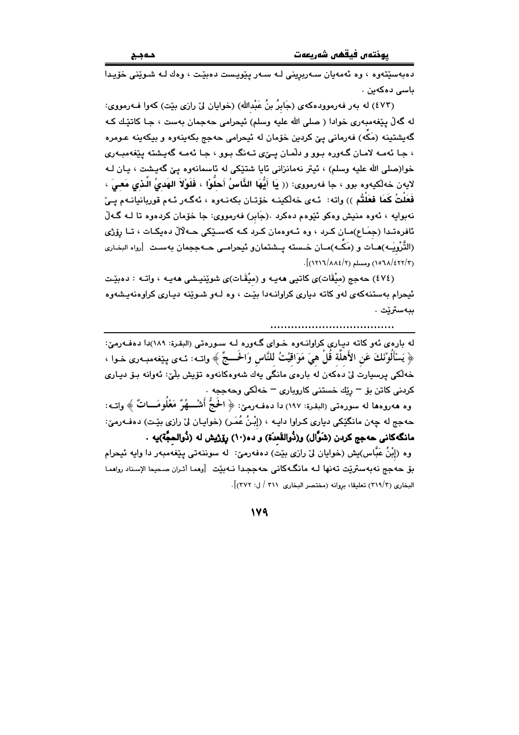ده به سٽتهوره ، وه ئه مه بان سه ريزيني لـه سـهر پٽوييست دهيٽت ، وهك لـه شـوٽني خويـدا باسى دەكەين .

(٤٧٣) له بەر فەرموودەكەي (جَابِرُ بنُ عَبْدالله) (خوايان ليّ رازي بێت) كەوا فـﻪرمووي: له گەلّ پێغەمبەرى خوادا ( صلى الله عليه وسلم) ئيحرامى حەجمان بەست ، جـا كاتێك كـه گەيشتينە (مَكَّە) فەرمانى يـێ كردين خۆمان لە ئيحرامى حەجج بكەينەوە و بيكەينە عـومرە ، جا ئەمـه لامـان گـەورە بـوو و دلّمـان يــێى تـەنگ بـوو ، جـا ئەمـه گەيـشتە يێغەمبـەرى خوا(صلي الله عليه وسلم) ، ئيتر نهمانزاني ئايا شتێکي له ئاسمانهوه ييّ گهيشت ، يـان لـه لايەن خەلكيەرە بور ، جا فەرمورى: (( يَا أَيُّهَا الذَّاسُ أَحلُّوْا ، فَلَوْلاَ الهَدىُ الَّذى مَعـىَ ، فَعَلْتُ كَمَا فعَلْتُم )) واته: ئـهي خهلْكينـه خۆتـان بكهنـهوه ، ئهگـهر ئـهم قوربانيانـهم يـيْ نهبوايه ، ئەوە منيش وەكو ئێوەم دەكرد .(جَابر) فەرمووى: جا خۆمان كردەوە تا لـــه گــەلّ ئافرەتىدا (جمَـاع)مـان كـرد ، وه ئـەوەمان كـرد كـه كەسـێكى حـەلالْ دەيكـات ، تـا رۆژى (التَّرْوِيَـه)هـات و (مَكَّـه)مـان خـسته بــشتمانو ئيجرامــ حـهججمان بهسـت |رواه البخـاري  $\frac{1}{2}$ (١٥٦٨/٤٢٢/٣) ومسلم (١٥٦٨/٤٢٢).

(٤٧٤) حەجج (مېقَات)ى كاتيى ھەپـە و (مېقَـات)ى شوينيـشى ھەپـە ، واتـە : دەبيـّت ئيحرام بهستنهکهي لهو کاته دياري کراوانـهدا بێت ، وه لـهو شـوێنه ديـاري کراوهنهيشهوه ببەسترێت .

له بارهي ئهو كاته دياري كراوانـهوه خـواي گـهوره لـه سـورهتي (البقرة: ١٨٩)دا دهفـهرميّ: ﴿ يَسْأَلُونَكَ عَنِ الأَهلَّةِ قَلْ هِيَ مَوَاقِيْتُ لِلنَّاسِ وَالْحَـــجِّ ﴾ واتــه: ئــهي بيّغهمبـهري خـوا ، خەلكى پرسپارت لىٰ دەكەن لە بارەي مانگى يەك شەوەكانەوە تۆپش بلْيْ: ئەوانە بىۆ ديـارى کردنی کاتن بۆ <sup>—</sup> رێك خستنی كاروباری <sup>—</sup> خەلكى وحەججە . وه هەروەها له سورەتى (البقرة: ١٩٧) دا دەفــەرمىّ: ﴿ الْحَجُّ أَشْـــهُرٌ مَعْلُومَـــاتٌ ﴾ واتــه: حەجج لە چەن مانگێکى ديارى كـراوا دايـە ، (إِبْنُ عُمَـرٍ) (خوايـان لِيْ رازى بێـت) دەڧـەرمێ:

مانگەكانى حەجج كردن (شَوَّال) و(دُوالقَعدَة) و دە(١٠) رۆژپش لە (دُوالحجَّة)يە ٠ وه (إبْنُ عَبَّاس)يش (خوايان ليٌ رازي بيّت) دهفهرميّ: له سوننهتي يـێغهمبهر دا وايه ئيحرام بق حەجج نەبەستريّت تەنھا لــه مانگــهكانى حەججـدا نــەبيّت [وهمـا أثـران صـحيحا الإسناد رواهمـا البخاري (٣١٩/٣) تعليقا، بروانه (مختصر البخاري ٣١١ / ل: ٣٧٢)].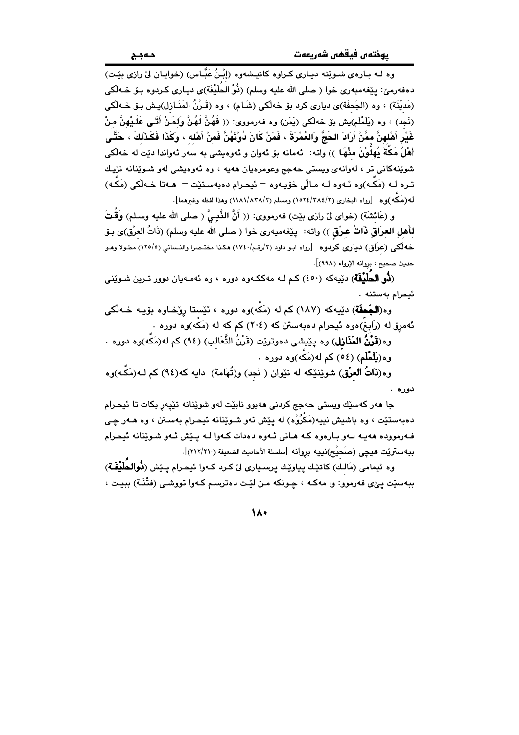وه لـه بـارهي شـوێنه دبـاري كـراوه كانبـشهوه (إِنْـنُ عَبَّـاس) (خوابـان ليّ رازي بِيّـت) دەفەرمىؒ: پێغەمبەرى خوا ( صلى الله عليه وسلم) (ذُوْ الۡحَلَيۡفَة)ى ديـارى كـردوه بـۆ خـﻪلْكى (مَديْنَة) ، وه (الجَحفَة)ي دياري كرد بۆ خەلْكى (شَـام) ، وه (قَـرْنُ المَذَـازل)يـش بـۆ خــه لْكى (نَحِدٍ) ، وهِ (بِلَمْلَم)بِش بِقِ خَهِلْكِي (بِمَن) وه فهرمووي: (( فَهُنَّ لَهُنَّ وَلِمَنْ أَتَبِي عَلَيْهِنَّ مِنْ غَيْرِ أَهْلهنَّ ممَّنْ أَرَادَ الحَجَّ وَالعُمْرَةَ ، فَمَنْ كَانَ دُونَهُنَّ فَمنْ أَهْله ، وكَذَا فَكَذَلكَ ، حَتَّـى أَهْلُ مَكَةَ يُهِلُوْنَ مِنْهَا ﴾) واته: ئەمانە بۆ ئەوان و ئەوەبشى بە سەر ئەواندا دێت لە خەلْكى شوێنهکانی تر ، لهوانهی ویستی حهجج وعومرهیان ههیه ، وه ئهوهیشی لهو شـوێنانه نزیـك تـره لـه (مَكَـه)وه ئـهوه لـه مـالّي خۆيـهوه – ئيحـرام دهبهسـتێت – هـهتا خـهڵكي (مَكَـه) له(مَكَّه)وه [رواه البخاري (٢/٢٨٤/٢) ومسلم (٢/٨٣٨/٨٣) وهذا لفظه وغيرهما].

و (عَائشَةَ) (خواي ليْ رازي بيّت) فەرمووي: (( أَنَّ النَّبِـيُّ ( صلى الله عليه وسـلم) وَقَّتَ لأَهلِ العرَاقِ ذَاتُ عـرْق )) واته: يێغهميهري خوا ( صلى الله عليه وسلم) (ذَاتُ العرْق)ى بـوٚ خه لّکی (عرَاق) دیاری کردوه [رواه ابو داود (٢/رقم/١٧٤٠) هکذا مختـصرا والنـسائی (١٢٥/٥) مطـولا وهـو حديث صحيح ، بروانه الإرواء (٩٩٨)].

(**ذُو الحَلَيْفَة**) دێيەكە (٤٥٠) كـم لـه مەككــەوە دورە ، وە ئەمــەيان دوور تـرين شـوێنى ئيحرام بەستنە .

وه(الجَحفَة) دێپهکه (١٨٧) کم له (مَکّه)وه دوره ، ئێستا روٚخـاوه بۆپـه خـهڵکی ئهمږۆ له (رَابِغ)ەوە ئیحرام دەبەستن كە (٢٠٤) كم كه له (مَكَّه)وه دورە .

وه(**قَرْنُ المَنَازل**) وه پێیشی دهوترێت (قَرْنُ الثَّعَالب) (٩٤) کم له(مَکَّه)وه دوره . وه(**يَلَمْلَم**) (٥٤) کم له(مَکه)وه دوره .

وه(**ذَاتُ العرْق**) شويْنيْكه له نيْوان ( نَجِد) و(تُهَامَة) دايه كه(٩٤) كم لــه(مَكّـه)وه دوره .

جا مهر کهسێك ويستي حهجج کردني مهبوو نابێت لهو شوێنانه تێپهڕ بکات تا ئيحرام دهبهستێت ، وه باشیش نییه(مَکُرُوْه) له پێش ئهو شـوێنانه ئیحـرام بهسـتن ، وه هـهر چـی فهرمووده ههيه لهو بارهوه که هاني ئهوه دهدات کهوا لـه پـێش ئـهو شـوێنانه ئیحـرام ببهستريّت هيچي (صَحيْح)نييه بروانه [سلسلة الأحاديث الضعيفة (٢١٢/٢١٠)].

وه ئيمامي (مَالك) كاتيّك پياويّك پرسياري ليّ كرد كـهوا ئيحرام پـيّش (**دُّوالحُلَيْفَـة**ّ) ببهسێت یێی فهرموو: وا مهکـه ، چـونکه مـن لێت دهترسـم کـهوا تووشـی (فتْنَـة) ببیـت ،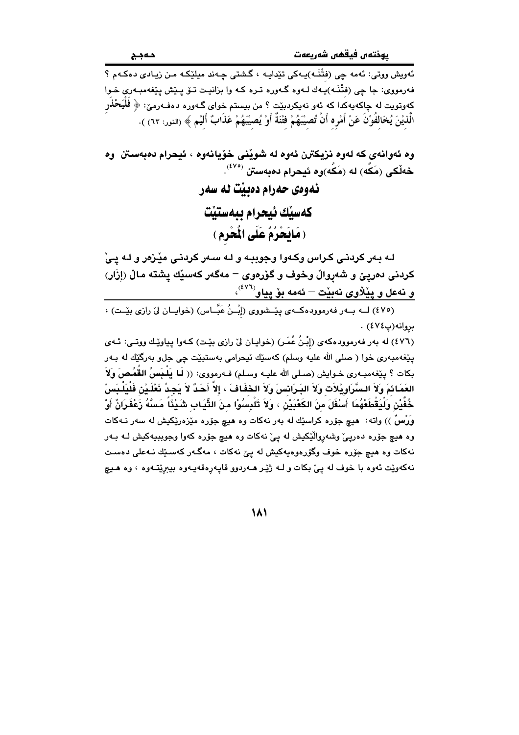.<br>ئەويش ووتى: ئەمە چى (فَتْنَـه)پـەكى تێداپـە ، گىشتى چـەند مىلێكـە مـن زيـادى دەكـەم ؟ فەرمووى: جا چى (فتْنَـه)يـهك لـهوه گـهوره تـره كـه وا بزانيـت تـۆ يـێش يـێغهمبـهوى خـوا کِهوتویت له چاکهیهکدا که ئهو نهیکردبیّت ؟ من بیستم خوای گـهوره دهفـهرمیّ: ﴿ فَلْيَحْلَار الَّذيْنَ يُخَالفُوْنَ عَنْ أَمْرِه أَنْ تُصيْبَهُمْ فَتْنَةٌ أَوْ يُصيْبَهُمْ عَذَابٌ أَلَيْمٍ ﴾ (النور: ٦٣) ).

وه ئەوانەي كە لەوە نزيكترن ئەوە لە شويْنى خۆيانەوە ، ئيحرام دەبەستن وە خەلْكى (مَكَّه) لە (مَكَّه)وه ئىحرام دەبەستن <sup>(٤٧٥)</sup>. ئەوەي حەرام دەبيت نە سەر كهسبك ئيحرام بيهستيت

(مَالِحْرُمُ عَلَى الْمَعْرِمِ )

لـه بـهر کردنـی کـراس وکـهوا وجوببـه و لـه سـهر کردنـی میْـزهر و لـه یـیْ كردني دەريێ و شەرواڵ وخوف و گۆرەوي – مەگەر كەسێك يشتە ماڵ (إزَار) و فهعل و پیْلاُوی فهبیْت – فهمه بوْ پیاو<sup>(٤٧٦)</sup>،<br>(٤٧٥) لــه بــهر فهرموودهکــهی پیْــشووی (إِبْــزُ عَبَّــاس) (خوایــاز لیٌ رازی بیِّــت) ،

بروانه (پ٤٧٤).

(٤٧٦) له بهر فهرموودهكهي (إِبْنُ عُمَرٍ) (خوايان ليِّ رازي بيِّت) كـهوا يياويِّك ووتـي: ئـهي پٽغەمبەرى خوا ( صلى الله عليه وسلم) كەسێك ئېحرامى بەستېێت چى جلٯ بەرگێك لە بـەر بكات ؟ ييْغەمبـەرى خـوايش (صـلى الله عليـه وسـلم) فـەرمورى: (( لَـا يَلْـبَسُ القُمُـصَ وَلاَ َ العَمَائمَ وَلاَ السَّرَاوِيْلاَت وَلاَ البَـرَانسَ وَلاَ الحْفَافَ ، إلاَّ أَحَدٌ لاَ يَجِدُ نَعْلَـيْن فَلْيَلْـبَسْ خُفَّيْن وَلْيَقْطَعْهُمَا أَسْفَلَ منَ الكَعْبَيْنِ ، وَلاَ تَلْبِسُوْا منَ الثِّيَابِ شَيْئًا مَسَّهُ زَعْفَرَانٌ أَوْ وَرْسُ )) واته: هيچ جۆرە كراسێك له بەر نەكات وە هيچ جۆرە مێزەرێكيش له سەر نـﻪكات وه هيچ جۆره دەريئ وشەروالٽِکيش له يئ نەکات وه هيچ جۆرە کەوا وجوببيەکيش لـه بـەر .<br>نهکات وه هیچ جۆره خوف وگۆرەوەپەکیش له یئ نهکات ، مەگـەر کەسـێك نـﻪعلى دەسـت .<br>نهکهويت ئهوه با خوف له ييّ بکات و لـه ژيّـر هــهردوو قايـهرهقهيـهوه بيبريّتـهوه ، وه هـيچ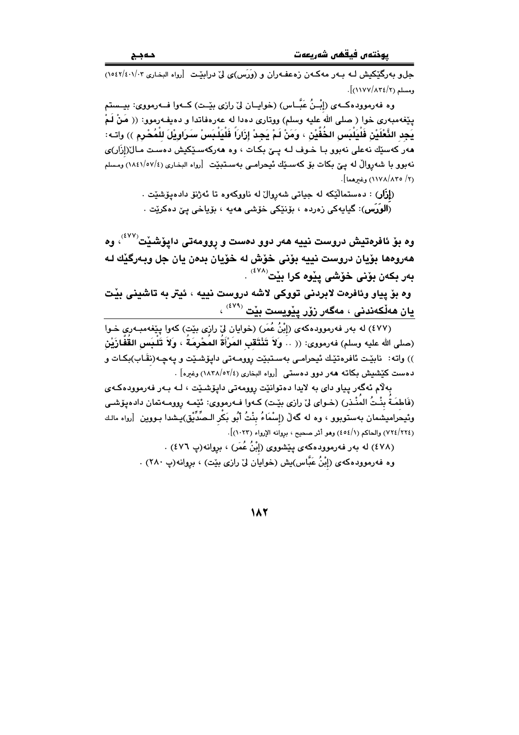يوختەں فيقھى شەريعەت

حل و پهرگٽکيش ليه پيهر مهڪهن زوعف،ران و (وَرَس)ي لي درائٽت [رواه البخاري ١٠١/٤٠/١٤٠٢)  $\frac{1}{2}$ ومسلم (١٢/١٢٧/٨٣٤).

وه فەرموودەكــەي (إِبْـنُ عَبَّــاس) (خوابــان ليِّ رازى بێـت) كــەوا فــەرمووى: بيــستم يێغەمبەرى خوا ( صلى الله عليه وسلم) ووتارى دەدا له عەرەفاتدا و دەپفەرموو: (( مَنْ لَمْ يَجِد النَّعْلَيْنِ فَلْيَلْبَسِ الخُفَّيْنِ ، وَمَنْ لَمْ يَجِدْ إِرَارَاً فَلْيَلْبَسِ ْسَرَاوِيْلَ للْمُحْرِمِ ﴾) واتــه: هەر كەسێك نەعلى نەبور بـا خـوف لـه يـێ بكـات ، وه هەركەسـێكيش دەست مـال(إِزَار)ى نهبوو با شەروالٌ له ييٌ بكات بۆ كەسىيِّك ئىحرامىي بەسـتبيِّت [رواه البخارى (١٨٤١/٥٧/٤) ومسلم (٢/ ١١٧٨/٨٣٥) وغيرهما].

> (**إزَار**) : دهستماليّكه له جياتي شهروال له ناووكهوه تا ئهژنو دادهيوشنت . (اَ**لوَرَس**): گیابهکی زەردە ، بۆنێکی خۆشی **م**ەپە ، بۆیاخی پێ دەکرێت .

وه بۆ ئافرەتيش دروست نييه هەر دوو دەست و روومەتى دايۆشێت<sup>(٤٧٧)</sup>، وە هەروەھا بۆيان دروست نييه بۆنى خۆش لە خۆيان بدەن يان جل وبەرگێك لە بەر بكەن بۆنى خۆشى يێوە كرا بێت<sup>(٤٧٨)</sup> . وه بوّ پياو وئافرەت لابردنى تووكى لاشه دروست نيپه ، ئيتر به تاشينى بيّت

يان ھەلّكەندنى ، مەگەر زۆر يێويست بێت (<sup>٤٧٩)</sup> ،

(٤٧٧) له بهر فهرموودهکهي (إِبْنُ عُمَرٍ) (خوايان ليّ رازي بيّت) کهوا پيّغهمبـهري خـوا (صلى الله عليه وسلم) فەرمورى: (( .. وَلاَ تَنْتَقَبِ المَرْأَةُ المُحْرِمَةُ ، وَلاَ تَلْـبَس القُفَازَيْن )) واته: نابێت ئافرەتێك ئیحرامی بەسـتبێت روومـەتی دايۆشـێت و پەچـە(نقَـاب)بكـات و دهست كَيْشْمِشْ بِكاته هەر دوو دەستى [رواه البخارى (٢/٥٢/٥٢) وغيره] .

بهلام ئهگەر يياو داي به لايدا دەتوانێت روومەتى دايۆشێت ، لـه بـهر فەرموودەكـەي (فَاطمَـةٌ بِنْـتُ المُنْـذر) (خـواي ليْ رازي بيّـت) كـهوا فـهرمووي: ئيّمـه روومـهتمان دادهـيو٘شـي وبئيحراميشمان بهستوبوو ، وه له گەلْ (إِسْمَاءُ بِنْتُ أَبُو بَكْر الـصِّدِّيْق)بِـشدا بـووين [رواه مالـك (٢٢٤/٢٢٤) والحاكم (٤٥٤/١) وهو أثر صحيح ، بروانه الإرواء (١٠٢٣)].

> (٤٧٨) له بهر فهرموودهکهي پَٽِشووي (إِبْنُ عُمَر) ، بروانه(پ ٤٧٦) . وه فهرموودهکهی (إِبْنُ عَبَّاس)يش (خوايان ليٌ رازي بنيت) ، بروانه(پ ۲۸۰) .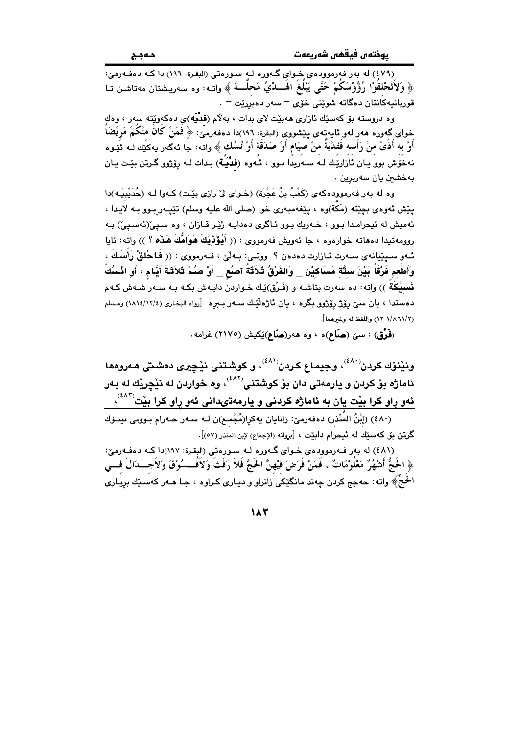(٤٧٩) له يهر فهرموودهي خواي گهوره له سوروتي (البقرة: ١٩٦) دا كه دهفهرميّ: ﴿ وَلَاتَحْلِقُوْا رُؤُوْسَكُمْ حَتَّى يَبْلُغُ الْهَـــدْيُ مَحَلَّـــهُ ﴾ واتــه: وه سەرپــشتان مەتاشـن تــا قوربانيەكانتان دەگاتە شوێنى خۆى <sup>—</sup> سەر دەبررێت <sup>—</sup> .

وه دروسته بۆ كەسىيك ئازارى ھەبيت لاي بدات ، بەلام (فَقُبَه)ى دەكەوپيتە سەر ، وەك خواي گەورە ھەر لەو ئايەتەي يـێشووي (البقرة: ١٩٦)دا دەفەرمَيّ: ﴿ فَمَنْ كَانَ منْكُمْ مَريْضَاً ۖ أَوْ به أَذَىً منْ رَأَسه فَفدْيَةٌ منْ صيَام أَوْ صَدَقَة أَوْ نُسُك ﴾ واته: جا ئهگهر يهكيَّك لـه ئيّدوه نهخُوش بوو يـان ئازاريِّك لـه سـهريدًا بـوو ، ئـهوه (فَدْيَـه) بـدات لـه رۆزوو گـرتن بيّـت يـان بەخشىن يان سەرېرين .

وه له بهر فهرمووِدهکهی (کَعْبُ بنُ عَجْرَة) (خـوای لیْ رازی بیْـت) کـهوا لـه (حُدَیْبیَـه)دا يێش ئەوەي بچێتە (مَكة)وە ، يێغەمبەرى خوا (صلى الله عليه وسلم) تێيـەر بـوو بـه لايـدا ، ئهميش له ئيحرامـدا بـوو ، خــهريك بـوو ئــاگرى دهدايــه ژێـِر قــازان ، وه ســپيّ(ئهسـپيّ) بــه روومه تبدا دههاته خوارهوه ، جا ئەويش فەرمووى : (( أَيُؤْذِيْكَ هَوَاهُكَ هَذَه ؟ )) واته: ئايا ئـهو سـبێيانهي سـهرت ئـازارت دهدهن ؟ ووتـي: بـهلْيّ ، فـهرمووي : (( فَباحُلقْ رَأْسَكَ ، وَأَطْعِم فَرْقَاً بَيْنَ ستَّةٍ مَسَاكِيْنَ \_ وَالفَرْقُ ثَلاَثَةُ آصنُع \_ أَوْ صـُمْ ثَلاَثَـةَ أَيَّـام ، أو انْسلُكْ نَسبيْكَةَ )) واته: ده سەرت بتاشـه و (فَـرْق)يْـك خـواردن دابـهش بكـه بـه سـهر شـهش كـهم دهستدا ، بان سبِّ رؤِژْ رؤژوو بگره ، بان ئاژەلْيِّك سـهر بـبره [رواه البخاري (١٢/٤/١٢/٤) ومسلم (١٢٠١/٨٦١/٢) واللفظ له وغيرهما].

(فَوْق) : سێ (صَاع)ه ، وه ههر(صَاع)ێِکیش (٢١٧٥) غرامه.

ونێنۆك كردن<sup>(دى)</sup>، وجيماع كردن<sup>(دى)</sup>، و كوشتنى نێچي*رى* دەشتى ھەروەھا ئاماژه بۆ كردن و يارمەتى دان بۆ كوشتنى<sup>(٤٨٢)</sup>، وه خواردن له نێڃرێك له بـهر ئهو راو کرا بيْت يان به ئاماژه کردنی و يارمهتىدانى ئهو راو کرا بيّت<sup>(٤٨٣)</sup>،

.<br>(٤٨٠) (إِبْنُ المُنْذر) دەفەرمىّ: زانايان يەكرا(مُجْمـع)ن لـه سـهر حـهرام بـوونى نينـۆك گرتن بۆ كەسىيك لە ئېحرام دابيّت ، [بروانه (الإجماع) لإبن المنذر (٥٧)].

(٤٨١) له بهر فــهرموودهى خــواى گــهوره لــه ســورهتى (البقرة: ١٩٧)دا كـه دهفــهوميّ: ﴿ الْحَجُّ أَشْهُرٌ مَعْلُوْمَاتٌ ، فَمَنْ فَرَضَ فَيْهِنَّ الْحَجَّ فَلاَ رَفَثَ وَلاَفَــسُوْقَ وَلاَجـــدَالَ فـــي الحُجَّ﴾ واته: حهجج کردن چهند مانگێکی زانراو و دیـاری کـراوه ، جـا هـهر کهسـێك بریـاری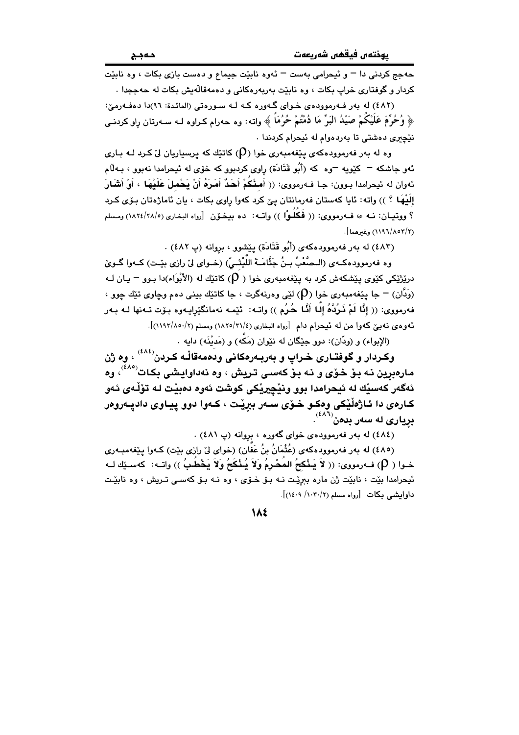حهجج کردنی دا – و ئیچرامی بهست – ئهوه نابیّت جیماع و دهست بازی بکات ، وه نابیّت کردار و گوفتاري خراب بکات ، وه نابێت بهريهرهکاني و دهمهقاڵهيش بکات له حهججدا .

(٤٨٢) له بهر فـهرموودهى خـواى گـهوره كـه لـه سـورهتى (المائـدة: ٩٦)دا دهفـهرميّ: ﴿ وُحُرٍّمَ عَلَيْكُمْ صَيْلُهُ الْبَرِّ مَا دُمْتُمْ حُرُمَاً ﴾ واته: وه حهرام كـراوه لـه سـهرتان رِاو كردنـى نٽچري دهشتي تا پهردهوام له ئيچرام کردندا .

وه له بهر فهرموودهکهی بیّغهمبهری خوا (Q) کاتیّك که پرسپاریان لیّ کـرد لـه بـاری ئهو جاشکه <sup>ـــ</sup> کێویه <sup>ـــ</sup>وه که (أَبُو قَتَادَة) راوی کردبوو که خوّی له ئیحرامدا نهبوو ، بــهڵام ئەوان لە ئىحرامدا بـوون: جـا فــەرمووى: (( أَمـثْكُمْ أَحَدٌ أَمَـرَهُ أَنْ يَحْمـلَ عَلَيْهَا ، أَوْ أَشْبَارَ إِلَيْهَا ؟ )) واته: ئايا كەستان فەرمانتان يېّ كرد كەوا راوي بكات ، يان ئاماژەتان بـۆي كـرد ؟ ووتيـان: نـه ء، فـهرمووي: (( فَكَلُوْا )) واتـه: ده بيـخـوّن [رواه البخـاري (١٨٢٤/٢٨/٥) ومسلم (١١٩٦/٨٥٣/٢) وغيرهما].

(٤٨٣) له يهر فهرموودهكهي (أَبُو قَتَابَة) بِيَشْوِقِ ، بروانه (پ ٤٨٢) .

.<br>وه فه رمووده كـهى (الــصَّعْبُ بــنُ جَثَّامَــةَ اللَّيْتْــىّ) (خــواى لىٰ رازى بيّــت) كــهوا گــوىٰ درێژێکی کێوی پێشکهش کرد به پێغهمبهری خوا ( (P) کاتێِك له (الأَبْوَاء)دا بـوو <sup>—</sup> يـان لـه (وَبِدَّان) = جا بِيَغهمبهري خوا (Q) لٽي وهرنهگرت ، جا کاتٽِك بيني دهم وڃاوي تٽِك جوو ، فهرمووي: (( إِنَّا لَمْ نَرُدَّهُ إِلَىا أَنَّا حُرُم )) واتـه: ئێمـه نهمانگێرايـهوه بـوّت تـهنها لـه بـهر ئەوەي نەبى كەوا من لە ئيحرام دام [رواه البخارى (٢١/٢٥/٢١) ومسلم (٢/١٩٢/١/١)].

(الإبواء) و (ودّان): دوو جِێِگان له نێوان (مَکّه) و (مَديْنَه) دايه ٠

وکـردار و گوفتـّـاری خـراپ و بهربـهرهکانی ودهمهقالـّـه کـردن<sup>(٤٨٤)</sup> ، وه ژن مارهبرين نـه بـوّ خـوّي و نـه بـوّ كهسـي تـريش ، وه نهداوايـشي بكـات<sup>(٤٨٥)</sup>، وه ئەگەر كەسىيك لە ئيحرامدا بوو ونيچيريكى كوشت ئەوە دەبيت لـه تۆلْـەي ئـەو کـارەی دا ئـاژەڵێکی وەکـو څـۆی سـەر بېرێت ، کـەوا دوو پيـاوی دادپـەروەر  $\mathbf{u}^{(\ell \wedge \mathbf{b})}$ بړیاری له سهر بدمن

(٤٨٤) له بهر فهرموودهى خواى گهوره ، بروانه (پ ٤٨١) .

(٤٨٥) له بهر فهرموودهكهى (عُثْمَانُ بنُ عَفَّان) (خواى ليّ رازى بيّت) كـهوا پِيّغهمبـهرى خـوا ( (P) فـﻪرمووى: (( لاَ يَـنْكعُ المُصْرِمُ وَلاَ يُـنْكَعُ وَلاَ يَخْطُبُ )) واتـﻪ: كەسـێك لـﻪ ئيحرامدا بێت ، نابێت ژن ماره ببرێت نـه بـۆ خـۆی ، وه نــه بـۆ کهسـی تــريش ، وه نابێـت داوابشي مكات [رواه مسلم (١٠٣٠/ ١٤٠٩)].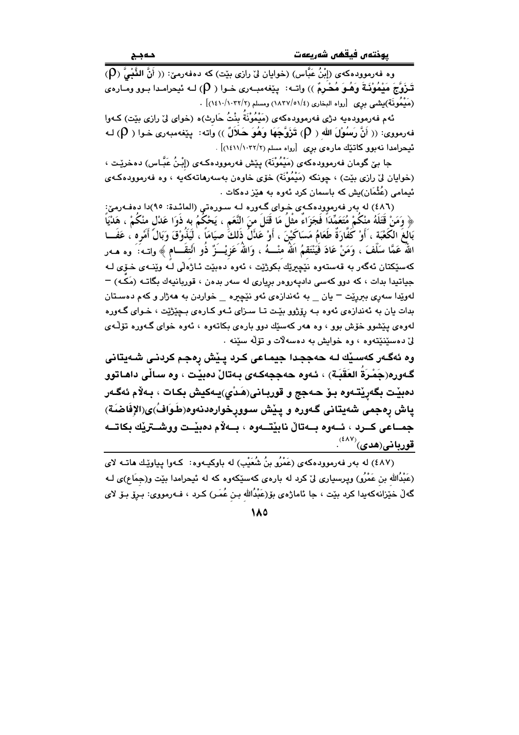وه فەرموودەكەي (إِبْنُ عَبَّاس) (خوابان لِيْ رازِي بِيْت) كە دەفەرمىّ: (( أَنَّ النَّنْبِيُّ (P) قَـزَوْجَ مَيْمُوْنَـةَ وَهُـوَ مُحْرِمٌ )) واتــه: يێغهمبــهري خــوا ( (P) لــه ئيحرامـدا بــوو ومــارهى (مَيْمُونَة)يشي برى [رواه البخارى (١/٥/٥١/٤) ومسلم (١٠٢٢/١٠٣٢)] .

ئهم فهرموودهيه دژی فهرموودهکهی (مَيْمُوْنَةُ بِنْتُ حَارِث)ه (خوای لیّ رازی بێت) کـهوا فهرمووي: (( أَنَّ رَسُوْلَ الله ( (P) تَزَوَّجَهَا وَهُوَ حَلَالٌ )) وَاته: ينْغهمبهري خـوا ( (P) لـه ئیحرامدا نەبوو كاتنیك مارەي برى [رواه مسلم (١٠٢٢/٢). . (١٤١١/١٠٢٢/٢)

جا بێ گومان فەرموودەكەى (مَيْمُوْنَة) پێش فەرموودەكەى (إِبْنُ عَبَّاس) دەخرێت ، (خوايان ليٌ رازي بيّت) ، چونكه (مَيْمُوْنَة) خوّي خاوهن بهسهرهاتهكهيه ، وه فهرموودهكهي ئیمامی (عُثْمَان)یش که باسمان کرد ئەوە بە ھێز دەکات .

(٤٨٦) له بهر فهرموودهكهى خواى گهوره لـه سـورهتى (المائـدة: ٩٥)دا دهفـهرميّ: ﴿ وَمَنْ قَتَلَهُ منْكُمْ مُتَعَمِّدَاً فَجَزَاءٌ مثْلُ مَا قَتَلَ منَ النَّعَمِ ، يَحْكُمُ به ذَوَا عَدْل منكُمْ ، هَدْيَاً بَالَغَ الكُعْبَة ، أَوْ كَفَّارَةٌ طَعَامُ مَسَاكَيْنَ ، أَوْ عَذَلُ ذَلكَّ صيَامَاً ، لَيَذُوْقَ وَبَالً أَمْره ، عَفَــا اللَّهُ عَمَّا سَلَّفَ ، وَمَنْ عَادَ فَيَنْتَقمُ اللّهُ منْـــهُ ، وَاللهُ عَزِيْـــَزٌ ذُو انْتِقَـــام ﴾ واتــه؛ َ وه هــهر كەسێكتان ئەگەر بە قەستەوە نێڃيرێك بكوژێت ، ئەوە دەبێت ئـاژەڵى لـُه وێنـەى خـۆى لـە جياتيدا بدات ، كه دوو كهسي داديهروهر برياري له سهر بدهن ، قوربانيهك بگاتـه (مَكـه) – لهويدا سهري بېرريت – يان په ئهندازهي ئهو نێڇيره په خواردن به ههژار وکهم دهستان بدات بان به ئهندازهي ئهوه بـه رۆژوو بێت تـا سـزاي ئـهو كـارهي بـچێژێت ، خـواي گـهوره لەوەي يێشوو خۆش بوو ، وە ھەر كەسێك دوو بارەي بكاتەوە ، ئەوە خواي گـەورە تۆڵـەي ليّ دهسێنێتهوه ، وه خوابش به دهسهلات و تۆلّه سێنه .

وه ئەگـەر كەسـێك لـە حەججـدا جيمـاعى كـرد پـێش رەجـم كردنـى شـەيتانى گـهوره(جَمْرَةُ العَقَبَـة) ، ئـهوه حهججهكـهى بـهتالْ دهبيّـت ، وه سـالْي داهـاتوو دەبيّت بگەريّتەوە بىۆ ھەجج و قوربانى(هَدْي)يـەكيش بكـات ، بـەلاّم ئەگـەر ياش رەجمى شەيتانى گەورە و يێش سوورخوارەدنەوە(طَوَافُ)ى(الإفَاضَة) جمساعي كسرد ، ئسەوە بسەتالْ ناينتسەوە ، بسەلام دەينست ووشسترنك بكاتسە قوربانى(هدى)<sup>(٤٨٧)</sup> .

.<br>(٤٨٧) له بهر فهرموودهکهی (عَمْرُو بنُ شُعَيْبِ) له باوکیـهوه: کـهوا پـیاوێـك هاتــه لای (عَبْدُالله بن عَمْرُو) ویرسیاری لیٚ کرد له بارهی کهسێکهوه که له ئیحرامدا بێت و(جمَاع)ی لـه گەلٌ خێزانەكەيدا كرد بێت ، جا ئاماژەي بۆ(عَبْدُالله بـن عُمَـر) كـرد ، فـەرمووى: بـرِۆ بـۆ لاى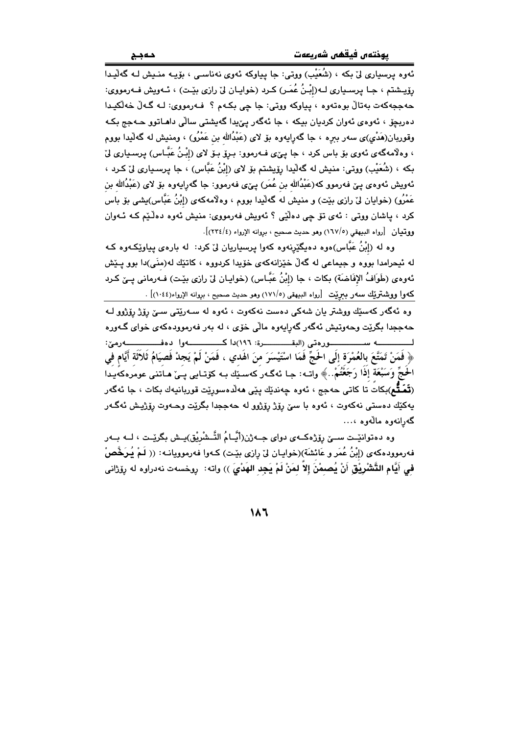.<br>ئەوە پرسيارى لى بكه ، (شُعَيْب) ووتى: جا پياوكە ئەوى نەناسىي ، بۆيـە منـيش لـە گەليـدا رۆپىشتم ، جـا پرسـڀارى لـﻪ(إِبْنُ عُمَـرٍ) كـرد (خوايـان ليّ رازى بێـت) ، ئـﻪويش فـﻪرمووى: حهججهکهت بهتالٌ بوهتهوه ، پياوکه ووتي: جا چي بکـهم ؟ فـهرمووي: لـه گـهلٌ خهلٌکيـدا دهربچۆ ، ئەوەي ئەوان كرديان بيكە ، جا ئەگەر پێيدا گەيشتى سالّى داھـاتوو حـەجج بكـە وقوریان(هَدْی)ی سەر بىرە ، جا گەراپەوە بۆ لای (عَبْدُالله بن عَمْرُو) ، ومنیش لە گەلّیدا بووم ، وهلاّمهگهي ئهوي بۆ باس كرد ، جا يـێي فـهرموو: بـرۆ بـۆ لاي (إِبْـنُ عَبَّـاس) پرسـياري لِيّ بِكه ، (شُعَيْبِ) ووتي: منيش له گەلّيدا رۆيشتم بۆ لاى (إِبْنُ عَبَّاس) ، جا پرسـيارى لِنّ كـرد ، ئەويش ئەوەي پێ فەرموو كە(عَبْدُالله بن عُمَر) پێى فەرموو: جا گەراپەوە بۆ لاى (عَبْدُالله بن عَمْرُو) (خوايان ليّ رازي بێت) و منيش له گهاٽيدا بووم ، وهلامهکهي (إبْنُ عَبَّاس)يشي بۆ باس کرد ، ڀاشان ووتي : ئەي تۆ چې دەڵێى ؟ ئەوپش فەرمووى: منيش ئەوە دەڵێم کـﻪ ئـﻪوان ووتيان [رواه البيهقي (١٦٧/٥) وهو حديث صحيح ، بروانه الإرواء (٢٣٤/٤)].

وه له (إِبْنُ عَبَّاس)ەوە دەپگێرنەوە كەوا پرسپاريان ليّ كرد: له بارەي پياوێكـەوە كـه له ئیحرامدا بووه و جیماعی له گهڵ خێزانهکهی خۆیدا کردووه ، کاتێك له(منَی)دا بوو پـێش ئەوەي (طَوَافُ الإفَاضَة) بكات ، جا (إِبْنُ عَبَّاس) (خوايـان ليْ رازي بێت) فـەرمانى يـيْ كـرد كهوا ووشتريك سهر ببريّت [رواه البيهقي (١٧١/٥) وهو حديث صحيح ، بروانه الإرواء(١٠٤٤)] .

وه ئەگەر كەسێك ووشتر يان شەكى دەست نەكەوت ، ئەوە لە سـەرێتى سـێ رۆژ رۆژوو لـە حهججدا بگرێت وحهوتيش ئهگەر گەرايەوه ماڵی خۆی ، له بەر فەرموودەكەی خوای گـەورە لــــــــــــه ســـــــــــــــورەتـى (البقــــــــــــرة: ١٩٦)دا كـــــــــــــهوا دەفــــــــــــــهرميّ: ﴿ فَمَنْ تَمَتَّعَ بِالعُمْرَة إِلَى الْحَجِّ فَمَا اسْتَيْسَرَ منَ اهْدي ، فَمَنْ لَمْ يَجِدْ فَصِيَامُ ثَلاَثَة أَيَّام فِي الْحَجِّ وَسَبْعَة إذَا رَجَعْتُمْ..﴾ واتــه: جـا ئـهگـهر كهسـێك بــه كۆتــايي پــيّ هــاتني عومرهكهيـدا (**تَمَتُّم**)بکاتُ تا کاتی حەجج ، ئەوە چەندێك پێی مەڵدەسورێت قوربانيەك بکات ، جا ئەگەر يەكێك دەستى نەكەوت ، ئەوە با سێ رۆژ رۆژوو لە حەججدا بگرێت وحـەوت رۆژپش ئەگـەر گەرانەوە مالەوە ،...

وه دەتوانێت سـێ رۆژەكــەي دواي جــەژن(أَيَّــامُ التَّـشْرِيْق)پـش بگرێـت ، لــه بــەر فهرموودهکهی (إِبْنُ عُمَر و عَائِشَةَ)(خوایـان لیْ رِازی بیْـت) کـهوا فهرموویانــه: (( لَـمْ یُـرَخَّصْ في أَيَّام التَّشْرِيْقِ أَنْ يُصمْنَ إِلاّ لمَنْ لَمْ يَجِد الهَدْيَ )) واته: رِوخسهت نهدراوه له رِوّرْانى

 $\lambda$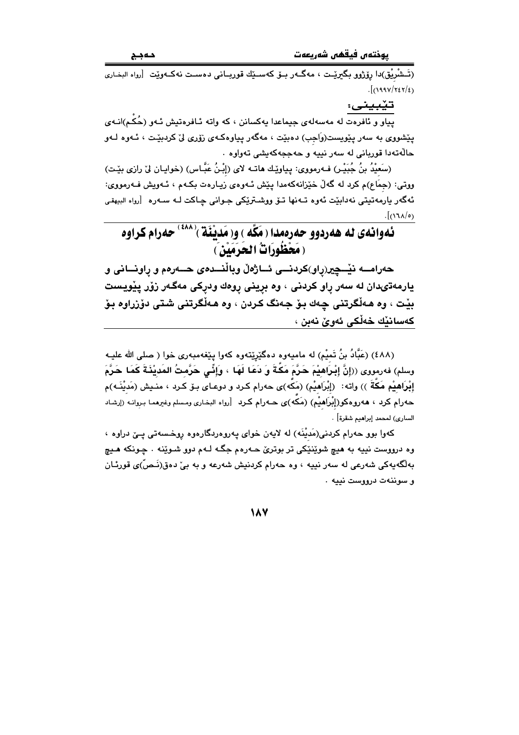.<br>(تَـشْرِيْق)دا رۆژوو بگىرێـت ، مەگــەر بــۆ كەســێك قوريــانى دەســت نەكــەوێت [رواه البخـارى  $\frac{1}{2}$ (1992/727/2)

تێبيني:

.<br>پیاو و ئافرەت لە مەسەلەی جیماعدا یەکسانن ، کە واتە ئـافرەتیش ئـەو (حُکْم)انـەی پێشووی به سهر پێویست(وَاجب) دهبێت ، مهگهر پیاوهکهی زۆری لیٌ کردبێت ، ئـهوه لـهو .<br>حالّهتهدا قورباني له سهر نييه و حهججهکهيشي تهواوه

(سَعَيْدُ بنُ جُبَيْـر) فـهرمووي: بياوِيْـك هاتـه لاي (إِبْـنُ عَبَّـاس) (خوابـان ليْ رازي بيْـت) ووتي: (جمَاع)م کرد له گهڵ خێزانهکهمدا پێش ئـهوهي زيـارهت بکـهم ، ئـهويش فـهرمووي: ئەگەر يارمەتىتى نەدابێت ئەوە تـﻪنها تـۆ ووشـترێكى جـوانى چـاكت لـﻪ سـﻪرە [رواە البيهقى  $\cdot$ [(۱٦٨/٥)

ئەوانەي لە ھەردوو حەرەمدا (مَكَّە ) و(مَديْنَة )<sup>(٤٨٨)</sup> حەرام كراوە (مَحْظُورَاتٌ الحَرَمَسْ)

حەرامــــه نێـــچِير(پاو)كردنــــي ئـــاژەڵ وباڵنـــدەی حــــەرەم و پاونـــانى و يارمهتىدان له سەر راو كردنى ، وه بړينى روەك ودركى مەگەر زۆر پێويست بيّت ، وه هـهڵگرتني چـهك بـوّ جـهنگ كـردن ، وه هـهڵگرتني شـتي دوّزراوه بـوّ كەسانٽِك خەلْكى ئەوێ نەبن ،

(٤٨٨) (عَبَّادُ بنُ تَميْمِ) له ماميهوه دهگێرِێتهوه کهوا پێغهمبهري خوا ( صلى الله عليـه وسلم) فهرمووى ((إِنَّ إِبْرَاهِيْمَ حَرَّمَ مَكَّةَ وَ دَعَا لَهَا ، وَإِثِّي حَرَّمتُ المَدِيْنَةَ كَمَا حَرَّمَ إِبْرَاهِيْمِ مَكَّةَ ﴾) واته: ﴿إِبْرَاهِيْمِ) (مَكَّهِ)ي حەرام كرد و دوعـاي بـۆ كـرد ، منـيش (مَديْنَـه)م حەرام كرد ، ھەروەكو(إِبْرَاهيْم) (مَكە)ى حـەرام كـرد [رواه البخارى ومـسلم وغيرهمـا بـروانـه (إرشـاد الساري) لمحمد إبراهيم شقرة] .

کهوا بوو حهرام کردنی(مَدیْنَه) له لایهن خوای یهروهردگارهوه روخسهتی یـێ دراوه ، وه درووست نبيه به هيچ شوٽِنٽِکي تر بوتريٰ حـهرهم جگـه لـهم دوو شـوٽِنـه . چـونکه هـيـچ بەلگەيەكى شەرعى لە سەر نىيە ، وە حەرام كردنيش شەرعە و بە بىّ دەق(نَـصّ)ى قورئـان و سوننهت درووست نييه .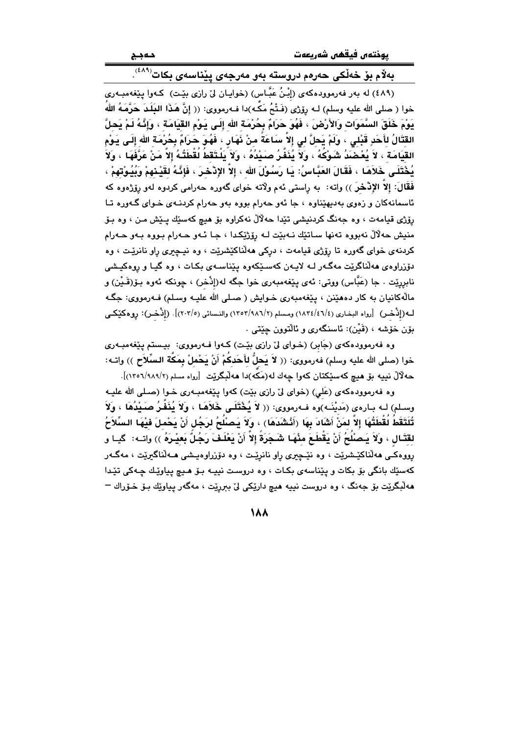| پوختەں فيقھى شەريعەت |  |  |
|----------------------|--|--|
|----------------------|--|--|

## بەلام بۆ خەلكى حەرەم دروستە بەو مەرجەي يێناسەي بكات<sup>(٤٨٩)</sup>.

(٤٨٩) له بهر فهرموودهکهي (إِبْنُ عَبَّاس) (خوايان ليٌ رازي بِيْت) کهوا بِيَعْه مِبِهري خوا ( صلى الله عليه وسلم) لـه رۆِژِي (فَـتْحُ مَکَّـه)دا فـه٫رمووي: (( إِنَّ هَـذَا البَلَـدَ حَرَّمَـهُ اللهُ يَوْمَ خَلَقَ السَّمَوَات وَالأَرْضَ ، فَهُوَ حَرَامٌ بِحُرْمَة الله إِلَـى يَـوْم القيَامَة ، وَإِنَّـهُ لَـمْ يَحلَّ القِتَالُ لِأَحَدٍ قَبْلِي ، وَلَمْ يَحِلَّ لِي إِلاَّ سَاعَةً مِنْ نَهَارٍ ، فَهُوَ حَرَامٌ بِحُرْمَةِ الله إِلَى يَوْمِ القِيَامَة ۚ ، لاَ يُعْضَدُ شَوْكُهُ ۚ ، وَلَا يُذَفَّرُ صَيْدُهُ ، وَلاَ يَلْتَقَطُ لُقْطَتُهُ إِلاَّ مَنْ عَرَّفَهَا ۚ ، وَلاَ يُخْتَلَـى خَلاَهَـا ، فَقَالَ العَبَّـاسُ: يَـا رَسُـوْلَ الله ، إلاَّ الإِدْخـرَ ، فَإِذَّهُ لقَيْـئهمْ وَيُبُوْتهمْ ، فَقَالَ: إِلاَّ الإِنْحْنَى)) وإنه: [به رأستي ئهم ولاّته خواي گهوره حهرامي كردوه لهو رؤزهوه كه ئاسمانهکان و زەوى بەديھێناوه ، جا ئەو حەرام بووە بەو حەرام كردنـهى خـواى گـەورە تـا رۆژې قيامەت ، وه جەنگ كردنيشى تێدا حەلالْ نەكراوە بۆ ھىچ كەسێك پـێش مـن ، وە بـۆ منيش حهلالٌ نهبووه تهنها سـاتێك نـهبێت لـه رۆژێِكدا ، جـا ئـهو حـهرام بـووه بـهو حـهرام کردنهی خوای گهوره تا رۆژی قیامهت ، درکمی ههلٌناکێشرێت ، وه نیـچیری راو نانرێت ، وه دۆزراوەي ھەلّناگريّت مەگـەر لــه لايـەن كەسـێكەوە يێناسـەي بكـات ، وە گيـا و روەكيـشى نابرريّت ، جا (عَبَّاس) ووتي: پُهِيَ بِيَعْهِمِيهِرِي خوا حِگهِ لهِ(إِنْجَر) ، جونِكه بُهوهِ بِوَ(قَـيْن) و مالهکانيان به کار دههێنن ، پێغهمبهري خـوايش ( صـلي الله عليـه وسـلم) فـهرمووي: جگـه لـه(إنْحْمِ) [رواه البخاري (١٨٣٤/٤٦/٤) ومسلم (١٢٥٢/٩٨٦/٢) والنسائي (٢٠٣/٥)]. (إذْحْمِ): رِوهكَيْكـي بۆن خۆشە ، (قَيْن): ئاسنگەرى و ئالتوون چێتى .

وه فهرموودهکهي (جَابِرِ) (خـوای ليّ رازي بێت) کـهوا فـهرمووي: بيـستم يێغهمبـهري خوا (صلى الله عليه وسلم) فەرمووى: (( لاَ يَحلُّ للَّحَدكُمْ أَنْ يَحْملْ بِمَكَّة السِّلاَح )) واتـه: حه لآلٌ نبيه بق هيچ كهسێكتان كهوا جهك له(مَكَّه)دا ههلْبِگريّت [رواه مسلم (٢/٩٨٩/٢-١٣٥١)].

وه فهرموودهکهي (عَلي) (خواي ليّ رازي بێت) کهوا پێغهمبـهري خـوا (صـلي الله عليـه وسلم) لـه بـارەي (مَديْنَـه)وه فـهرمووي: (( لاَ يُخْتَلَـى خَلاَهَـا ، وَلاَ يُنَفَّـرُ صَـيْدُهَا ، وَلاَ تُلَتَقَطُ لَقْطَتُهَا إِلاَّ لمَنْ أَشَادَ بِهَا (أَنْشَدَهَا) ، وَلاَ يَصْلُحُ لرَجُل أَنْ يَحْملَ فيْهَا السِّلاَحُ لقَتَـال ، وَلاَ يَـصلُلُحُ أَنْ يَقْطَـعَ مِنْهَـا شَـجَرَةً إِلاّ أَنْ يَعْلَـفَ رَجُلٌ بَعيْـرَهُ )) واتــه: ۚ گيـا و رووهکـي ههڵناکێشرێت ، وه نێـڃيري راو نانرێـت ، وه دۆزراوهيـشي هــهڵناگيرێت ، مهگـهر كەسێك بانگى بۆ بكات و پێناسەي بكـات ، وه دروسـت نييــه بـۆ ھـيچ پياوێك چـەكى تێدا هەلْبِگريْت بۆ جەنگ ، وه دروست نيپە هيچ داريْكى لىْ بېرريْت ، مەگەر يياويْك بـۆ خـۆراك –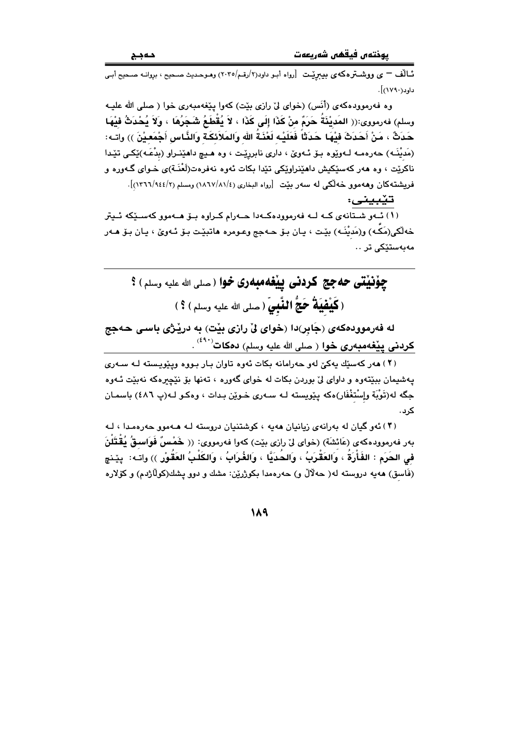۔<br>نالف <sup>—</sup> ی ووشترہک*ای* بیبریّت [رواہ أبو داود(۲/رقم/۲۰۲٥) وهوحدیث صحیح ، بروانـه صـحیح أبـی داود(۱۷۹۰)].

وه فهرموودهکهی (أُنَس) (خوای ليّ رازی بێت) کهوا بێغهمبهری خوا ( صلی الله علیـه وسلم) فەرمورى:(( المَديْنَةُ حَرَمٌ منْ كَذَا إِلَى كَذَا ، لاَ يُقْطَعُ شَجَرُهَا ، وَلاَ يُحْدَثُ فيْهَا حَدَثٌ ، مَنْ أَحَدَثَ فَيْهَا حَدَثَاً فَعَلَيْه لَعْذَةُ الله وَالمَلاَئكَة وَالذَّاس أَجْمَعيْنَ )) واتـه: (مَديْنَـه) حەرەمـه لـەوێوە بـۆ ئـەوێ ، دارى نابررێـت ، وه هـيـچ داهێنـراو (بدْعَـه)ێِكـي تێـدا ناکريْت ، وه هەر کەسێکيش داهێنراوێکي تێدا بکات ئەوه نەفرەت(لَعْنَـة)ي خـواي گـەورە و فریشتهکان وههموو خهالکی له سهر بیّت [رواه البخاری (١/٨١/٤١/١) ومسلم (٢/١٤٤/٢). [.

تێبينى:

.<br>( ۱ ) ئــهو شــتانهى كــه لــه فهرموودهكــهدا حــهرام كــراوه بــۆ هــهموو كهســێِكه ئــيتر خەلْكى(مَكَـه) و(مَديْنَـه) بێت ، يـان بـۆ ھـهجج وعـومره ھاتبێت بـۆ ئـهوێ ، يـان بـۆ ھـهر مەيەستتكى تر ..

چۆنىتى حەجج كردنى يىغەمبەرى خوا ( مىلى الله عليه وسلم ) ؟ (كَيْفْيَةُ حَجُّ الْفَّبِيِّ (صلى الله عليه وسلم) ؟)

له فەرموودەكەي (جَابر)دا (خواي لِّيْ رازِي بِيْت) بِه دريْرْي بِاسى حەجج **کردنی پیْغهمبهری خوا** ( صلی الله علیه وسلم) **دهکات<sup>(٤٩٠)</sup> .** 

(۲) ههر کهسٽك پهکێ لهو جهرامانه بکات ئهوه تاوان بيار پيووه ويٽويسنه ليه سيهري پهشیمان بېيْتەوه و داواي ليّ پورېن بکات له خواي گەورە ، تەنھا پۆ نێچىرەکە نەپێت ئـەوە جگه له(تَوْبَة وإِسْتغْفَار)هكه يێويسته لـه سـهري خـوێن بـدات ، وهكـو لـه(پ ٤٨٦) باسمـان کر ر.

(۳) ئەو گيان لە پەرانەي زيانيان ھەبە ، كوشتنيان دروستە لـە ھـەموق جەرەمـدا ، لـە بهر فهرموودهكهي (عَائشَة) (خواي ليّ رازي بيّت) كهوا فهرمووي: (( خَمْسٌ فَوَاسِقٌ يُقْتَلْنَ في الحَرَم : الفَأْرَةُ ، وَالعَقْرَبُ ، وَالحُدَيَّا ، وَالغُرَابُ ، وَالكَلْبُ العَقُوْرِ )) واتـه: ايێنچ (فَاسق) هەيە دروستە لە( حەلالٌ و) حەرەمدا بكوژرێن: مشك و دوو يشك(كولاژدم) و كۆلارە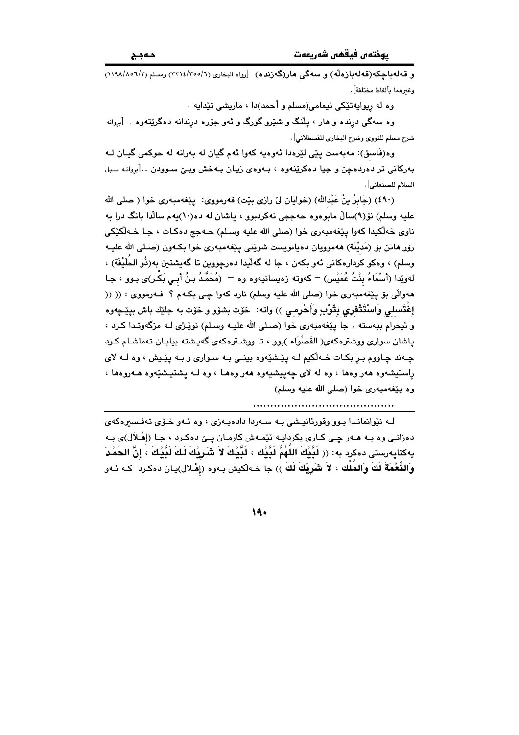و قەلەياچكە(قەلەيازەلّە) و سەگى ھار(گەزندە) [رواە البخارى (٢/٥٥/١/ ٣٢١٤) ومسلم (٢/١٩٨/١١١٨) وغىرهما مألفاظ مختلفة].

وه له ريوايهتێکي ئيمامي(مسلم و أحمد)دا ، ماريشي تێدايه .

وه سهگی درنده و هار ، پلّنگ و شێرو گورگ و ئهو جوّره درندانه دهگرێتهوه . [بروانه شرح مسلم للنووي وشرح البخاري للقسطلاني].

وه(فَاسق): مەبەست يێي لێرەدا ئەوەپە كەوا ئەم گيان لە بەرانە لە حوكمى گيـان لـه بهرکانی تر دهردهچن و جیا دهکرینهوه ، بـهوهی زیـان بـهخش وبـێ سـوودن ..[بروانـه سـبل السلام للصنعاني].

(٤٩٠) (جَابِرُ بِنُ عَبْدالله) (خوايان ليِّ رازي بيّت) فهرمووي: يـيّغهمبهري خوا ( صلى الله علیه وسلم) نۆ(۹)سالٌ مابوهوه حهججی نهکردبوو ، پاشان له ده(۱۰)پهم سالٌدا بانگ درا به ناوي خەلكىدا كەوا يێغەمبەرى خوا (صلى الله عليه وسلم) حـﻪجج دەكـات ، جـا خـﻪلْكێكى زۆر ماتن بۆ (مَديْنَة) مەموويان دەيانويست شوێنى يێغەمبەرى خوا بكـەون (صـلى الله عليـه وسلم) ، وهكو كردارهكاني ئەو بكەن ، جا لە گەلىدا دەرجووين تا گەبشتىن بە(ذُو الحَلَيْفَة) ، لهوێِدا (أَسْمَاءُ بِنْتُ عُمَيْس) = كەوتە زەيسانيەوە وە = (مُحَمَّدُ بِـنُ أَبـِي بَكْـر)ى بـوو ، جـا ههوالِّي بق پيّغهمبهري خوا (صلى الله عليه وسلم) نارد كهوا چي بكهم ؟ فـهرمووي : (( (( إغْتَسلمي وَاسْتَتْقْفري بِتَّوْبٍ وَأَحْرِمي )) واته: ۖ خوّت بشوّو و خوّت به جليّك باش بييّـجهوه و ئيحرام ببهسته . جا پێغهمبهري خوا (صـلي الله عليـه وسـلم) نوێـژي لـه مزگهوتـدا كـرد ، یاشان سواری ووشترهکهی( القَصْوَاء )بوو ، تا ووشـترهکهی گهیشته بیابـان تهماشـام کـرد چهند چاووم بر بکات خـهلکيم لـه پێشێهوه بينـي بـه سـواري و بـه پێـيش ، وه لـه لاي راستيشهوه ههر وهها ، وه له لای چهپيشيهوه ههر وهما ، وه لـه پشتيشندهوه هـهروهها ، وه يَيْغَهمبهري خوا (صلى الله عليه وسلم)

لـه نێوانمانـدا بـوو وقورئانيـشي بـه سـهردا دادهبـهزي ، وه ئـهو خـۆی تهفـسیرهکهی دهزانـي وه بـه هــهر چـي كــاري بكردايــه ئێمـهش كارمـان پــێ دهكـرد ، جـا (إهْـلاَل)ي بـه يەكتاپەرستى دەكرد بە: (( لَبَّيْكَ اللَّهُمَّ لَبَّيْك ، لَبَّيْكَ لاَ شَرِيْكَ لَكَ لَبَّيْكَ ، إِنَّ الحَمْدَ وَالثِّعْمَةَ لَكَ وَالمُلْك ، لاَ شَرِيكَ لَكَ )) جا خـه لكيش بـهوه (إمْـلال)يـان دهكـرد كـه ئـهو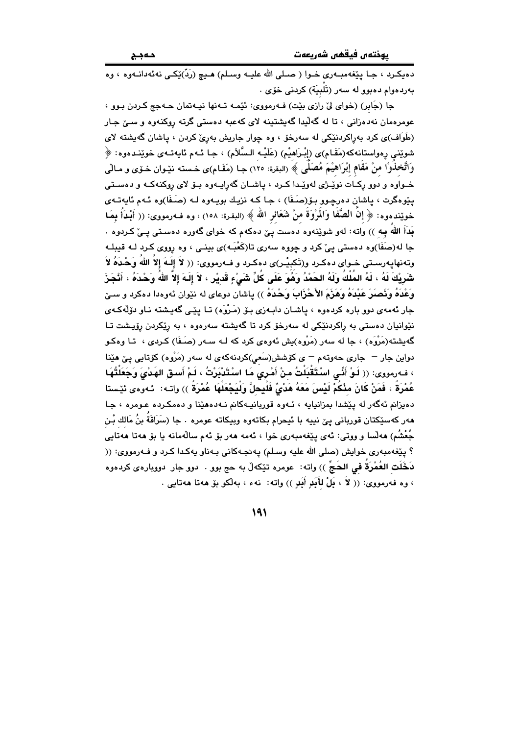.<br>دوبکرد ، جـا بـێغهمبـهري خـوا ( صـلي الله عليـه وسـلم) هـيـچ (رَدّ)ێکـي نهئهدانـهو.ه ، و.ه بەردەوام دەبوو لە سەر (تَلْبِيَة) كردنى خۆى .

جا (جَابِرِ) (خواي ليٌ رازِي بِيْتٍ) فـهرمووي: ئێمـه تـهنها نيـهتمان حـهجج كـردن بـوو ، عومرهمان نهدهزانی ، تا له گهڵيدا گهيشتينه لای كهعبه دهستی گرته روكنهوه و سـێ جـار (طَوَاف)ی کرد بهڕاکردنێکی له سهرخۆ ، وه چوار جاریش بهڕێ کردن ، پاشان گهیشته لای شوێنې ڕەواستانەكە(مَقَـام)ى (إِبْـرَاهيْم) (عَلَيْـه الـسَّلاَم) ، جـا ئـهم ئايەتـهى خوێنـدەوه: ﴿ وَاتَّخذُوْا منْ مَقَام إِبْرَاهِيْمَ مُصَلَّى ﴾ (البقرة: ١٢٥) جـا (مَقَـام)ى خـسته نێـوان خـۆي و مـاڵي خــواوه و دوو رکـات نوێـژی لهوێـدا کــرد ، پاشــان گهرایــهوه بــوّ لای روکنهکــه و دهســتی پێوهگرت ، پاشان دهرچوو بۆ(صَـفَا) ، جـا کـه نزیـك بویـهوه لـه (صَـفَا)وه ئـهم ئايهتـهى خويِّندهوه: ﴿ إِنَّ الصَّفَا وَالْمِرْوَةَ منْ شَعَائِرِ الله ﴾ (البقرة: ١٥٨) ، وه فـهرمووى: (( أَبْدَأُ بِمَا بَدَأَ الله بِه )) واته: لهو شوێنهوه دهست یێ دهکهم که خوای گهوره دهستی یـیٚ کـردوه . جا له(صَفَا)وه دهستي ييّ کرد و چووه سهري تا(کَعْبَـه)ي بينـي ، وه رووي کـرد لـه قيبلـه وتهنهايهرسـتي خـواي دهكـرد و(تَكبِيْـر)ي دهكـرد و فـهرمووي: (( لاَ إِلَـهَ إِلاَّ اللهُ وَحْـدَهُ لاَ شَرِيْكَ لَهُ ، لَهُ المُلْكُ وَلَهُ الحَمْدُ وَهُوَ عَلَى كُلِّ شَيْءٍ قَديْرٍ ، لاَ إِلَـهَ إلاَّ اللهُ وَحْدَهُ ، أَذْجَزَ وَعْدَهُ وَنَصَرَ عَبْدَهُ وَهَزَمَ الأَحْزَابَ وَحْدَهُ )) پاشان دوعای له نێوان ئهوهدا دهکرد و سـێ جار ئەمەي دوو بارە كردەوە ، ياشـان دابـەزى بـۆ (مَـرْوَه) تـا يێـى گەيـشتە نـاو دۆڵەكـەي نێوانیان دهستی به راکردنێکی له سهرخو کرد تا گهیشته سهرهوه ، به رێکردن رۆیشت تـا گەيشتە(مَرْوَه) ، جا لە سەر (مَرْوه)يش ئەوەي كرد كە لـه سـەر (صَـفَا) كـردى ، تـا وەكـو دواین جار – جاری حەوتەم – ی کۆشش(سَعی)کردنهکەی له سەر (مَرْوه) کۆتايى يىّ هێنا ، فـهرمووى: (( لَـوْ أَنِّـى اسْتَقْبَلْتُ منْ أَمْرِي مَا اسْتَدْبَرْتُ ، لَمْ أَسـق الهَدْيَ وَجَعَلْتُهَا عُمْرَةً ، فَمَنْ كَانَ مِنْكُمْ لَيْسَ مَعَهُ هَدْيٌ فَلْيحلَّ وَلْيَجْعَلْهَا عُمْرَةً ﴾) واتـه: ئـهوهي ئێـستا دهيزانم ئهگەر له يێشدا بمزانيايه ، ئـهوه قوربانيــهکانم نـهدههێنا و دهمکـرده عـومره ، جـا هەر كەسێكتان قوربانى يىّ نييە با ئيحرام بكاتەوە وبيكاتە عومرە . جا (سَرَاقَة بنُ مَالك بْن جُعْشُمِ) هەلّسا و ووتى: ئەي پێغەمبەرى خوا ، ئەمە ھەر بۆ ئەم سالّەمانە يا بۆ ھەتا ھەتايى ؟ پێغهمبهري خوايش (صلى الله عليه وسلم) پهنجـهکاني بـهناو يهکدا کـرد و فــهرمووي: (( لدَخَلَت العُمْرَة في الحَجِّ )) واته: عومره تێکهڵ به حج بوو . دوو جار دووبارهى کردهوه ، وه فهرمووى: (( لاَ ، بَلْ لِأَبَدٍ أَبَدٍ )) واته: نهء ، بهلُكو بق ههتا ههتايى .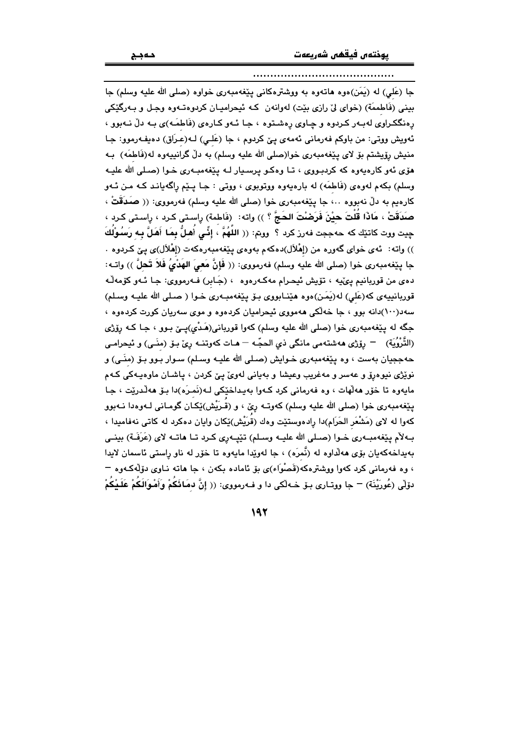#### 

جا (عَلَى) له (يَمَن)ەوه ھاتەوە بە ووشترەكانى پێغەمبەرى خواوە (صلى الله عليه وسلم) جا بینی (فَاطمَعَة) (خوای لیٌ رازی بیّت) لهوانهن کـه ئیحرامیـان کردوهتـهوه وجـل و بـهرگیْکی رهنگکراوي لهېدر کردوه و چاوي رهشتوه ، جا ئـهو کـارهي (فَاطمَـه)ي بـه دلّ نـهبوو ، ئەويش ووتى: من باوكم فەرمانى ئەمەي يىّ كردوم ، جا (عَلى) لـه(عرَاق) دەيفەرموو: جا منيش رۆيشتم بۆ لاي يَيْغەمبەرى خوا(صلى الله عليه وسلم) به دلّ گرانپيەوە لە(فَاطمَه) بـه هوّی ئهو کارهیهوه که کردبووی ، تا وهکو پرسپار لـه پیّغهمبـهری خـوا (صـلی الله علیـه وسلم) بکهم لهوهي (فَاطمَه) له بارهيهوه ووتوبوي ، ووتي : جـا پـێم راگهيانـد کـه مـن ئـهو كارەيم به دلٌ نەبووە ..، جا پێغەمبەرى خوا (صلى الله عليه وسلم) فەرمووى: (( صَدَقَتْ ، صَدَقَتْ ، مَاذَا قُلْتَ حيْنَ فَرَضْتَ الحَجَّ ؟ )) واته: (فَاطمة) رِاسـتى كـرد ، رِاسـتى كـرد ، حِيت ووت كاتنِّك كه حهججت فهرز كرد ؟ ۖ ووتم: (( اللَّهُمُّ ، إِنِّـى أَهلُّ بِمَا أَهَلَّ بِـه رَسُوْلُكَ )) واته: ئەي خواي گەورە من (إِمْلاَل)دەكەم بەوەي پێغەمبەرەكەت (إِمْلاَل)ى پێ كـردوه . جا بِيِّغهمبهري خوا (صلى الله عليه وسلم) فهرمووي: (( فَإِنَّ مَعيَ الهَدْيُ فَلاَ تَحلَّ )) واتــه: دهي من قوربانيم پيُنيه ، تۆيش ئيحرام مەكـەرەوە ، (جَـابر) فـەرمووى: جـا ئـەو كۆمەڵـە قوربانييهي كه(عَلى) له(يَمَن)،وه هيّنـابووي بـوّ يـيّغهمبـهري خـوا ( صـلى الله عليـه وسـلم) سهد(۱۰۰)دانه بوو ، جا خهانکی ههمووی ئیحرامیان کردهوه و موی سهریان کورت کردهوه ، جگه له پێغهمبهري خوا (صلي الله عليه وسلم) کهوا قورباني(هَـدْي)پــێ بـوو ، جـا کـه رِۆِژي (التَّرْوُيَة) رۆژى ھەشتەمى مانگى ذى الحجّـه ھـات كەوتنــه رێ بـۆ (منَــى) و ئيحرامــى حهججيان بهست ، وه پيّغهمبهري خـوايش (صـلي الله عليـه وسـلم) سـوار بـوو بـۆ (منَـي) و نوێژي نيوهږێو عهسر و مهغريب وعيشا و بهياني لهويٰ پيِّ کردن ، پاشـان ماوهيـهکي کـهم مايەوه تا خۆر ھەلھات ، وه فەرمانى كرد كـەوا بەيداخێكى كە(نَمـرَه)دا بـۆ ھەلّدرێت ، جـا پێغهمبهري خوا (صلى الله عليه وسلم) كهوتــه رِيِّ ، و (قُـرَيْش)ێِكـان گومـاني لــهوهدا نــهبوو كهوا له لاى (مَشْعَر الحَرَام)دا رادهوستيّت وهك (قرَيْش)ێكان وايان دهكرد له كاتى نهفاميدا ، بـ4لأم بِيْغهمبـ4ري خـوا (صـلى الله عليــه وسـلم) تبْيــهري كـرد تــا هاتــه لاي (عَرَفَـة) بينــي بهیداخهکهیان بۆی هەلّداوه له (نٌمرَه) ، جا لهوێدا مایهوه تا خوّر له ناو راستی ئاسمان لایدا ، وه فەرمانى كرد كەوا ووشترەكە(قَصْوَاء)ى بۆ ئامادە بكەن ، جا ھاتە نـاوى دۆلّەكـەوە – دۆلی (عُورَيْنَة) – جا ووتـاری بـوّ خـه لّکی دا و فـهرمووی: (( إِنَّ دمَائَکُمْ وَأَمْـوَالَکُمْ عَلَـيْکُمْ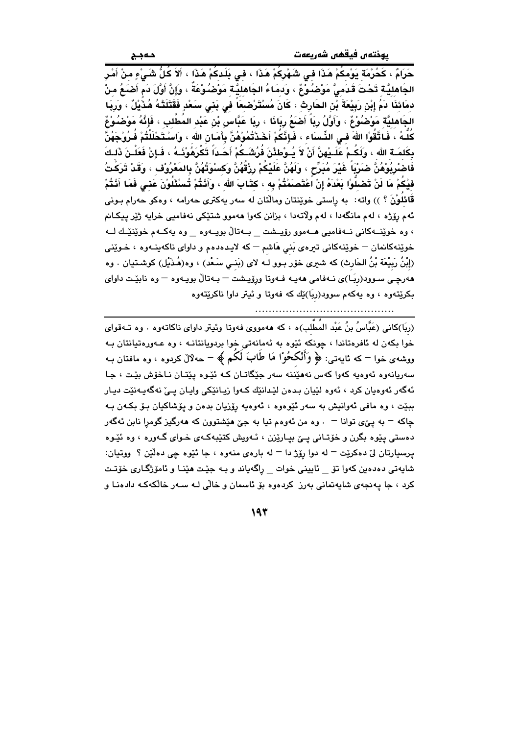يوختەں فيقھى شەريعەت

حَرَامٌ ، كَحُرْمَة يَوْمكُمْ هَذَا في شَهْرِكُمْ هَذَا ، في بَلَدكُمْ هَذَا ، أَلاَ كُلُّ شَيْءٍ منْ أَمْر الجَاهليَّـة تَحْتَ قَدَمـىٌّ مَوْضَـُوْعٌ ، وَدمَاءُ الجَاهليَّـة مَوْضـُوْعَةٌ ، وَإِنَّ أَوَّلَ دَم أَضـَعُ مِنْ دمَائذَا دَمُ إِبْنِ رَبِيْعَةَ بْنِ الحَارِثِ ، كَانَ مُسْتَرْصْبِعَاً فَي بَنِي سَعْدِ فَقَتَلَتْهُ هُذُيْلٌ ، وَرِيَا الجَاهليَّة مَوْصُوْعٌ ، وَأَوَّلُ رِبَاً أَصْبَعُ رِبَانَا ، رِبَا عَبَّاس بْن عَبْد المُطَّلب ، فَإِنَّهُ مَوْضُوْعٌ كُلُّهُ ، فَـاتَّقُوْا اللهَ فـى الذِّسبَاء ، فَـإِنَّكُمْ أَخَـٰدْتُمُوْهُنَّ بِأَمَـانِ الله ، واسـْتَحْلَلْتُمْ فُـرُوْجَهُنَّ بِكَلمَـة الله ، وَلَكُـمْ عَلَـيْهِنَّ أَنْ لاَ يُـوْطئْنَ فُرُشَـكُمْ أَحَـدَاً تَكْرَهُوْنَـهُ ، فَـإِنْ فَعَلْـنَ ذَلـكَ فَاصْرِيُوْهُنَّ صَرَيْبَاً غَيْرَ مُبَرِّحٍ ، وَلَهُنَّ عَلَيْكُمْ رِزْقُهُنَّ وَكسْوَتُهُنَّ بِالمَعْرُوْف ، وَقَدْ تَرَكْتُ فيْكُمْ مَا لَنْ تَصْلُّوْا بَعْدَهُ إِنْ اَعْتَصَمَتْتُمْ بِه ، كتَابَ الله ، وَأَنْتُمْ تُسْئَلُوْنَ عَنى فَمَا أَنْتُمْ قَائِلُونَ ؟ )) واته: به راستي خوێِنتان ومالّتان له سهر پهکتري حهرامه ، وهکو حهرام بـوني ئهم رۆژه ، لهم مانگەدا ، لهم ولاتەدا ، بزانن كەوا ھەموو شتێكى نەفامىي خرايە ژێر ييكـانم ، وه خوێنــهکانی نــهفاميي هــهموو رۆيــشت \_ بــهتاڵ بويــهوه \_ وه يهکــهم خوێنێـك لــه خوێنهکانمان – خوێنهکانی تیرهی بَنی هَاشم – که لایدهدهم و داوای ناکهینـهوه ، خـوێنی (إِبْنُ رَبِيْعَة بْنُ الحَارِث) كه شيرى خۆر بـوو لـه لاى (بَنـى سَـعْد) ، وه(هُـدَيْل) كوشـتيان . وه هەرچى سـوود(ربَـا)ى نـەفامى هەيـە فـەوتا ورِۆيـشت – بـەتالٌ بويـەوە – وە نابێت داواى بکرێتەوە ، وە پەکەم سوود(ربَا)ێك كە فەوتا و ئيتر داوا ناكرێتەوە 

(ربَا)کانی (عَبَّاسُ بنُ عَبْد المُطَّلب)ه ، که ههمووی فهوتا وئیتر داوای ناکاتهوه . وه تـهقوای خوا بکهن له ئافرهتاندا ، چونکه ئێوه به ئهمانهتی خوا بردویانتانـه ، وه عـهورهتیانتان بـه ووشەي خوا – كە ئايەتى: ﴿ وَأَنْكَحُوْا مَا طَابَ لَكُمْ ﴾ – حەلالْ كردوه ، وە مافتان بـه سهريانهوه ئهوهيه کهوا کهس نههێننه سهر جێگاتان که ئێوه پێتان ناخۆش بێت ، جا ئەگەر ئەوەيان كرد ، ئەوە لێيان بىدەن لێدانێك كـەوا زيـانێكى وايـان يـىٰ نەگەيـەنێت ديـار ببێت ، وه مافي ئەوانیش به سەر ئێوەوە ، ئەوەیە رِۆزیان بدەن و پۆشاكیان بىۆ بكەن بـه چاکه – به ییٌی توانا – . وه من ئهوهم تیا به جیّ هیشتوون که ههرگیز گومرا نابن ئهگهر دهستي پێوه بگرن و خۆتاني پێ بپارێزن ، ئـهويش کتێبهکـهي خـواي گـهوره ، وه ئێوه يرسيارتان ليٌ دهکريّت – له دوا رِۆِژ دا – له بارهي منهوه ، جا ئَيُوه چي دهڵێن ؟ ووتيان: شايەتى دەدەين كەوا تۆ \_ ئايينى خوات \_ راگەياند و بـه جێت ھێنـا و ئامۆژگـارى خۆتـت کرد ، جا پهنجهی شاپهتمانی بهرز کردهوه بۆ ئاسمان و خالی لـه سـهر خالکهکـه دادهنـا و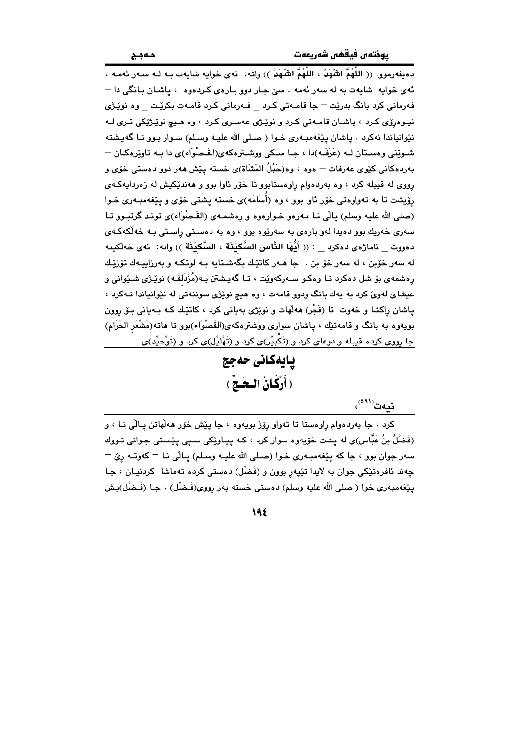دهيفهرموو: (( اللَّهُمَّ الشَّهَدْ ، اللَّهُمَّ الشَّهَدْ )) وإنه: - بُهِي خوابه شابهت بـه لـه سـهر بُهمـه ، ئهي خوايه شايهت به له سهر ئهمه . سێ جـار دوو بـارهي كـردهوه ، ياشـان بـانگي دا — .<br>فەرمانى كرد بانگ بدريّت – جا قامـەتى كـرد فـەرمانى كـرد قامـەت بكريّـت وە نويّـژى نيوهرۆي كرد ، پاشان قامەتى كرد و نوپْرژى عەسرى كرد ، وه هيچ نوپْرژيكى ترى لـه نێوانياندا نهکرد . پاشان پێغهمبـهري خـوا ( صـلي الله عليـه وسـلم) سـوار بـوو تـا گهيـشته شـوێنی وهسـتان لـه (عَرَفَـه)دا ، جـا سـکی ووشـترهکهی(القَـصوْاء)ی دا بـه تاوێرهکـان — بەردەكانى كێوى عەرفات — ەوە ، وە(حَبْلُ المَشَاة)ى خستە يێش ھەر دوو دەستى خۆي و رووي له قيبله کرد ، وه بهردهوام راوهستابوو تا خوّر ئاوا بوو و ههنديکيش له زهردايهکهي رۆیشت تا به تەواوەتى خۆر ئاوا بوو ، وە (أَسَامَه)ى خستە يشتى خۆي و يێغەمبـەرى خـوا (صلى الله عليه وسلم) يالي نــا بــهردو خــواردود و ردشمــهـى (القَـصْوَاء)ى تونـد گرتبــوو تــا سهری خهریك بوو دهیدا لهو بارهی به سهریوه بوو ، وه به دهستی راستی بـه خهلکهکـهی دهووت – بْامارْهِي دهكرِد – : (( أَنَّهَا الذَّاسِ السَّكنْنَة ، السَّكنْنَة )) وإنه: بُهي خهلْكينه له سهر خۆين ، له سهر خۆ بن ، جا هـهر كاتێك بگهشـتابه بـه لوتكـه و بهرزابيـهك تۆرێـك رەشمەي بۆ شل دەكرد تــا وەكـو ســەركەوێت ، تــا گەپـشتن بـە(مُزْدَلفَـه) نوێـژى شـێوانى و عیشای لهوی کرد به یهك بانگ ودوو قامهت ، وه هیچ نویژی سوننهتی له نیوانیاندا نـهکرد ، ياشان راکشا و خەوت تا (فَجْر) ھەلّھات و نوێژي بەيانى کرد ، کاتێك کـه بـەيانى بـۆ روون بویهوه به بانگ و قامهتێك ، پاشان سواری ووشترهکهی(القَصْوَاء)بوو تا هاته(مَشْعَر الحَرَام) جا رووي کرده قيبله و دوعاي کرد و (تَکبيْر)ي کرد و (تَهْليْل)ي کرد و (تَوْحيْد)ي

يايەكانى حەجج ( أَرْكَانُ الْحَـجُ )

 $\mathbf{u}^{(\ell\,1)}$ نىلەت

کرد ، جا بهردهوام رِاوهستا تا تهواو رِۆِژ بويهوه ، جا پِيْش خوّر هه لهاتن پالي نـا ، و (فَضْلُ بنُ عَبَّاس)ی له پشت خۆیەوه سوار کرد ، کـه پیـاوێِکی سـپی پێـستی جـوانی تـووك سهر جوان بوو ، جا که پێغهمبـهري خـوا (صـلي الله عليـه وسـلم) پـالّي نـا – کهوتـه رِيّ – چەند ئافرەتێكى جوان بە لايدا تێپەرِ بوون و (فَضْل) دەستى كردە تەماشا كردنيـان ، جـا پێغهمبەرى خوا ( صلى الله عليه وسلم) دەستى خستە بەر رووى(فَـضْل) ، جـا (فَـضْل)پـش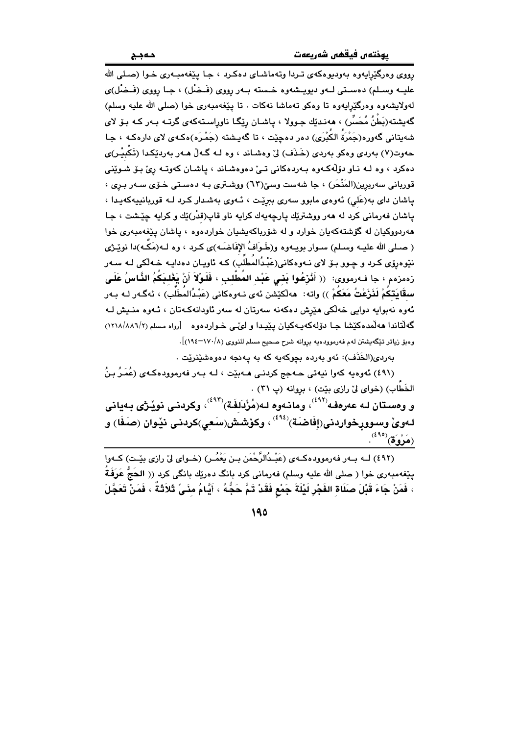.<br>رووي و.درگٽرايهو.ه پهوڊيو.هکهي تردا وتهماشياي دهکرد ، جيا پٽغهميـهري خـوا (صـلي الله علیــه وســلم) دهسـتي لــهو دیویــشهوه خــسته بــهر رووی (فَــخِسْل) ، جــا رووی (فَــخِسْل)ی لەولايشەوە وەرگێرايەوە تا وەكو تەماشا نەكات . تا يێغەمبەرى خوا (صلى الله عليه وسلم) گەيشتە(بَطْنُ مُحَسِّر) ، ھەنـدێك جـوولا ، ياشـان رێگـا ناوراسـتەكەي گرتــه بـەر كــه بـۆ لاي شەبتانى گەورە(جَمْرَةُ الكُبْرَى) دەر دەجێت ، تا گەبىشتە (جَمْرَه)ەكـەي لاي دارەكـە ، جـا حەوت(۷) پەردى وەكو پەردى (خَـذَف) لِيّ وەشـاند ، وە لـە گـەلْ ھـەر پەردێكـدا (تَكْسِر)ى دهکرد ، وه لـه نـاو دۆلّەكـهوه بـهردهکانى تـىٰ دهوهشـاند ، ياشـان كهوتـه رئ بـۆ شـوێنى قوریانی سەریرین(المَنْحَر) ، جا شەست وسیّ(٦٣) ووشـتری بـه دەسـتی خـوّی سـەر بـری ، یاشان دای به(عَلی) ئەوەي مابوو سەری بىرپّت ، ئـەوی بەشدار كـرد لـه قوریانىيەكەيـدا ، ياشان فهرماني کرد له ههر ووشتريّك پارچهپهك کرايه ناو قاپ(قدْر)يّك و کرايه چيّشت ، جا .<br>هەردووكيان له گۆشتەكەيان خوارد و له شۆرباكەيشيان خواردەوە ، ياشان يێغەمبەرى خوا ( صـلي الله عليـه وسـلم) سـوار بويـهوه و(طَـوَافُ الإفَاضَـه)ى كـرد ، وه لـه(مَكَّـه)دا نوێـژي نێوەرۆی کـرد و چـوو بـۆ لای نـەوەکانى(عَبْـدُالمُطَلِّبَ) کـه ئاویـان دەدایـه خـەلکى لـه سـەر رْهمزهم › جا فـهرمووى: (( أَنْزِعُوا بَنِي عَبْد المُطَّلب ، فَلَوْلاَ أَنْ يَغْلبَكُمُ النَّاسُ عَلَى سقَابَتكُمْ لَذَرْعْتُ مَعَكُمْ )) وإنه: هەلكێشن ئەي نـەوەكانى (عَبْدُالمُطَلِّب) ، ئەگـەر لـە بـەر ئەوە نەبوايە دوايى خەلكى ھێرش دەكەنە سەرتان لە سەر ئاودانەكەتان ، ئـەوە منـيش لـە گه لُتاندا هه لُمده کَیْشا جا دۆلەکەپەکیان یییدا و لیٌمی خـواردهوه [رواه مسلم (۱۲۱۸/۸۸۱/۲) وهبوّ زياتر تێگەيشتن لەم فەرموودەيە بروانە شرح صحيح مسلم للنووي (١٧٠/٨-١٩٤)].

بەردى(الخَذَف): ئەو بەردە بچوكەيە كە بە يەنجە دەوەشێنرێت .

(٤٩١) ئەوەيە كەوا نيەتى ھەجج كردنىي ھەبێت ، لـه بـەر فەرموودەكـەي (عُمَرُ بنُ الخَطَّابِ) (خواي ليِّ رازي بيّت) ، بروانه (پ ٣١) . و ومستان لـه عەرەفـە<sup>(٤٩٢)</sup>، ومانـەوە لـە(مُزْدَلفَـة)<sup>(٤٩٣)</sup>، وكردنـى نوێـژى بـەيانى

لـهوىٌ وسـوورخواردنى(إفَاضَـة)<sup>(٤٩٤)</sup> ، وكۆشـش(سَعى)كردنـى نێوان (صَـفَا) و  $\mathbf{A}^{(\mathbf{a},\mathbf{b})}$ (مَرْوَة)

(٤٩٢) لــه بــهر فهرموودهكـهي (عَبْـدُالرَّحْمَن بـن يَعْمُـر) (خـواي ليّ رازي بيّـت) كـهوا پێغهمبهری خوا ( صلی الله علیه وسلم) فهرمانی کرد بانگ دهرێِك بانگی کرد (( الحَجُّ عَرَفَةُ ، فَمَنْ جَاءَ قَبْلَ صَلَاةِ الفَجْرِ لَيْلَةَ جَمْعِ فَقَدْ تَمَّ حَجُّهُ ، أَيَّامُ مِنَىً ثَلاَثَةً ، فَمَنْ تَعَجَّلَ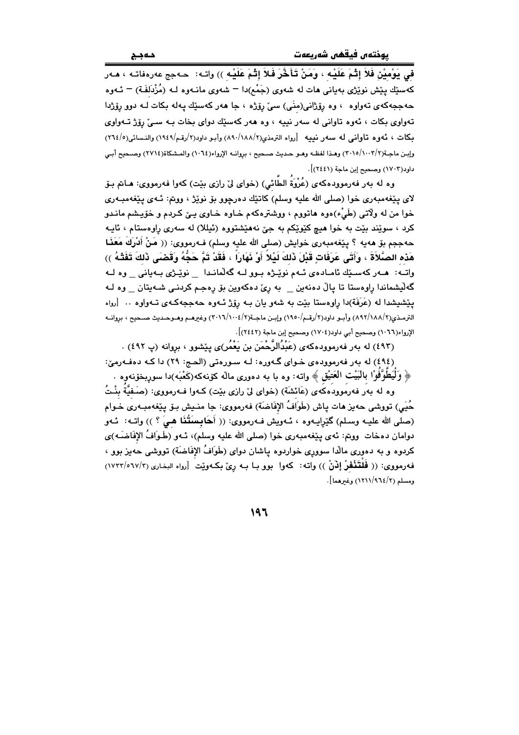في يَوْمِيْنِ فَلاَ إِثْمَ عَلَيْهِ ، وَمَنْ تَأَخَّرَ فَلاَ إِثْمَ عَلَيْهِ )) وإنه: [حـهج عهرهفاتـه ، هـهر کهسێك پێش نوێژی بهیانی هات له شهوی (جَمْع)دا <sup>—</sup> شهوی مانــهوه لــه (مُزْدَلفَـة) <sup>—</sup> ئــهوه حهججه کهی تهواوه ، وه رِۆژانی(منّی) سیّ رِوّژه ، جا ههر کهسێك يهله بكات لـه دوو روّژدا تهواوي بکات ، ئهوه تاواني له سهر نيپه ، وه ههر کهسێك دواي بخات بـه سـيٌ رۆژ تـهواوي بكات ، ئەوە تاوانى لە سەر نييە [رواه الترمذى(١٨٨/٢/ ٨٩٠) وأبو داود(٢/رقم/١٩٤٩) والنسائه (٢٦٤/٥) وإبن ماجـة(٢/١٠٠٢/٢) وهـذا لفظـه وهـو حـديث صـحيح ، بروانـه الإرواء(٦٠٦٤) والمـشكاة(٢٧١٤) وصـحيح أبـي داود(١٧٠٣) وصحيح إبن ماجة (٢٤٤١)].

وه له بهر فهرموودهکهی (عُرْوَةُ الطَّائي) (خوای لیٌ رازی بیّت) کهوا فهرمووی: هـاـمّ بـوّ لای پێغەمبەری خوا (صلى الله علیه وسلم) کاتێك دەرچوو بۆ نوێژ ، وونم: ئــهی پێغەمبــهری خوا من له ولاّتي (طَيْء)هوه هاتووم ، ووشترهکهم خـاوه خـاوی یـێ کـردم و خوّیـشم مانـدو کرد ، سويند بيت به خوا هيچ کێوێکم به جيّ نههيشتووه (ئيللا) له سهري راوهستام ، ئايـه حهججم بق ههيه ؟ يێغهمبهري خوايش (صلى الله عليه وسلم) فــهرمووي: (( مَنْ أَدْرِكَ مَعَذَا هَذه الصَّلاَةَ ، وَأَتَى عَرَفَاتٍ قَبْلَ ذَلكَ لَيْلاً أَوْ نَهَاراً ، فَقَدْ تَمَّ حَجُّهُ وَقَضَى ذَلكَ تَفَثَّهُ )) واته: هــهر كهسـێك ئامـادهى ئـهم نويّـرْه بـوو لـه گهلّمانـدا دَويّـرى بـهيانى وه لـه گەلیشماندا راوەستا تا پالْ دەنەین \_ بە ریّ دەكەوین بۆ رەجم كردنـى شـەیتان \_ وە ك يێشيشدا له (عَرَفَة)دا راوهستا بێت به شهو يان بـه رۆژ ئـهوه حهججهكـهى تـهواوه .. [رواه الترمذي(١٨٨/٢/١٨) وأبـو داود(٢/رقـم/١٩٥٠) وإبـن ماجـة(٢/١٠٠٤/٢) (٣٠١٦) وغيرهـم وهـوحـديث صـحيح ، بروانـه الإرواء(١٠٦٦) وصحيح أبي داود(١٧٠٤) وصحيح إبن ماجة (٢٤٤٢)].

.<br>(٤٩٣) له بهر فهرموودهکهی (عَبْدُالرَّحْمَن بن يَعْمُر)ی پێشوو ، بروانه (پ ٤٩٢) .

(٤٩٤) له بهر فهرموودهى خـواى گـهوره: لـه سـورهتى (الحـج: ٢٩) دا كـه دهفـهرميّ: ﴿ وَلَيَطْوَّفُوْا بِالْبَيْتِ الْعَتَيْقِ ﴾ واتـه: وه با بـه دهوري ماله كۆنـهكـه(كَعْبَـه)دا سوربخۆنـهوه .

وه له بهر فهرموودهكهى (عَائشَة) (خواى ليّ رازى بيّت) كـهوا فـهرمووى: (صَـفيَّةٌ بِنْـتُ حُيَى) تووشي حەيز ھات پاش (طَوَافُ الإفَاضَة) فەرمووى: جا منـيش بـۆ پـێغەمبـەرى خـوام (صلى الله عليـه وسـلم) گَيْرِايـهوه ، ئـهويش فـهرمووى: (( أَحَابِسَتُنَا هـيَ ؟ )) واتـه: ئـهو دوامان دهخات ۖ ووتم: ئهى يَيْغهمبهرى خوا (صلى الله عليه وسلم)، ئـهو (طَـوَافُ الإفَاضَـه)ى کردوه و به دهوری مالّدا سووری خواردوه پاشان دوای (طَوَافُ الإفَاضَة) تووشی حهیز بوو ، فه رمووي: (( فَلَتَنْفَوْ إِنْنْ )) واته: كهوا بوو بـا بـه ريِّ بكـهويّت [رواه البخـاري (٧/٢٢/٥٦٧/٣) ومسلم (٢/٩٦٤/٢١١/٩٦٤) وغيرهما].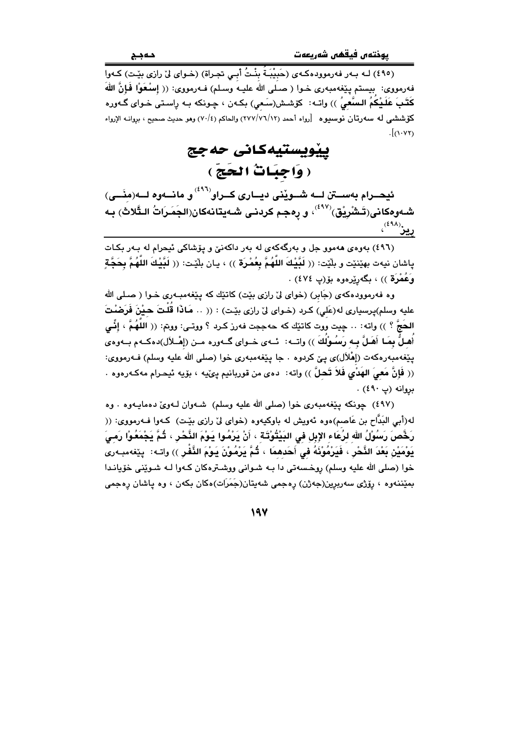(٤٩٥) لـه بـهر فهرموودهكـهى (حَبيْبَـةُ بِنْـتُ أَبـى تجـراة) (خـواى ليّ رازى بيّـت) كـهوا فهرمووى: بيستم يێغهمبهري خـوا ( صـلى الله عليـه وسـلم) فـهرمووي: (( إسـُعَوْا فَإِنَّ اللَّهَ كَتَبَ عَلَيْكمُ السَّعيُ )) واتــ: كرّشـش(سَـعي) بكــهن ، چـونكه بــه راسـتي خـواي گــهوره كۆششى له سەرتان نوسىيوە [رواه أحمد (٢٧٧/٧٦/١٢) والحاكم (٧٠/٤) وهو حديث صحيح ، بروانــه الإرواء  $\lceil (1.17) \rceil$ 

> ييۆيستيەكانى حەجج ( وَاجِبَاتْ الْحَجّ )

ئيحــرام بهســتن لـــه شــوێنى ديـــارى كــراو``` و مانـــهوه لـــه(منَـــى) شـهوهكانى(تَـشْرِيْق)<sup>(٤٩٧)</sup>، و رِهجـم كردنـى شـهيتانهكان(الجَمَـرَاتُ الـثَّلاث) بـه پيز<sup>(٤٩٨)</sup>،

(٤٩٦) بهوهي ههموو جل و بهرگهکهي له بهر داکهنيّ و پۆشاکي ئيحرام له بـهر بکـات ياشان نيهت بهيّنيّت و بلّيّت: (( لَبَّيْكَ اللّهُمَّ بِعُمْرَة )) ، يـان بلّيّت: (( لَبَّيْكَ اللّهُمَّ بِحَجّ وَعُمْرَةٌ )) ، بگەرێرەوە بۆ(پ ٤٧٤) .

وه فهرموودهکهی (جَابر) (خوای لیّ رازی بێت) کاتێك که پێغهمبـهری خـوا ( صـلی الله عليه وسلم)پرسياري له(عَلى) كرد (خـواي ليّ رازي بيّـت) : (( .. هَـاذا قلتَ حـيْنَ فَرَضْتَ الحَجَّ ؟ )) واته: ٠. حِيت ووت كاتنِك كه حهججت فهرز كـرد ؟ ووتـي: ووتم: (( اللَّهُمَّ ، إنِّـي أَهِلُّ بِمَا أَهَلَّ بِـهِ رَسُوْلُكَ )) واتــه: ئــهى خــواى گــهوره مــن (إهْــلأل)دهكـهم بــهوهى يێغەمبەرەكەت (إهْلاَل)ى يېّ كردوە ٠ جا يێغەمبەرى خوا (صلى الله عليه وسلم) فـﻪرمووى: (( فَإِنَّ مَعِيَ الهَدْيِ فَلاَ تَـْصِلَّ )) واتـه: ده ى من قوربانيم پئێيه ، بۆيه ئيحـرام مهكـهرهوه . بروانه (پ ٤٩٠) .

(٤٩٧) چونکه پێغهمبهري خوا (صلى الله عليه وسلم) شـهوان لـهويٌ دهماپـهوه . وه له(أبي البَدَّاح بن عَاصم)هوه ئهويش له باوكيهوه (خواي ليٌ رازي بيِّت) كـهوا فـهرمووي: (( رَخَّصَ رَسُوْلُ الله لرُعَاء الإبل فى البَيْتُوْتَة ، أَنْ يَرْمُوا يَوْمَ النَّحْرِ ، ثُمَّ يَجْمَعُوْا رَمـىَ يَوْمَيْنَ بَعْدَ النَّحْرِ ، فَيَرْمُوْنَهُ في أَحَدهمَا ، ثُمَّ يَرْمُوْنَ يَوْمَ النَّفْرِ )) واتـه: يێغهمبـهري خوا (صلى الله عليه وسلم) روخسهتي دا بـه شـواني ووشـترهكان كـهوا لـه شـويْني خوّيانـدا بمێننهوه ، رێزی سهربرِین(جهژن) رهجمی شهیتان(جَمَرَات)هکان بکهن ، وه یاشان رهجمی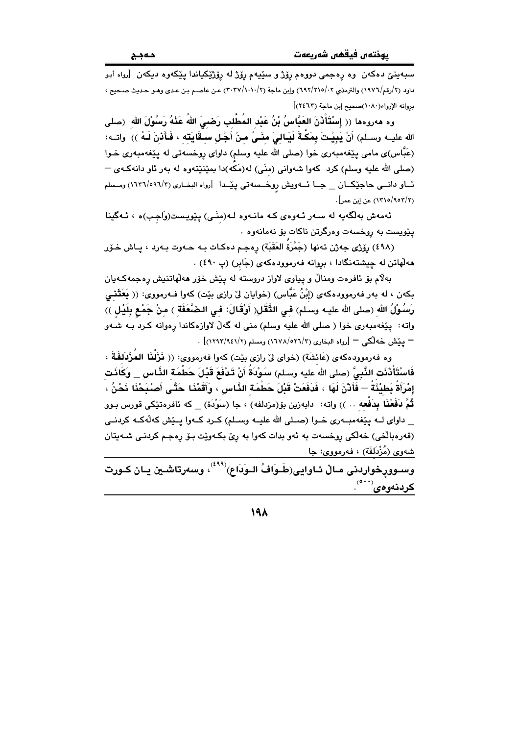سبهينيّ دهکهن ً وه رهجمي دووهم روّژ و سێيهم روّژ له روّژێِکياندا پێِکهوه ديکهن آرواه اَبو داود (٢/رقم/١٩٧٦) والترمذي ٢٠/٢١٥/٢) وإبن ماجة (٢٠٢٧/١٠١٠/٢) عن عاصم بن عدي وهـو حـديث صـحيح ، بروانه الإرواء(١٠٨٠)صحيح إبن ماجة (٢٤٦٢)]

وه مەروەما (( إِسْتَأْثَنَ العَبَّاسُ بْنُ عَبْدِ المُطَّلِبِ رَضبِيَ اللهُ عَذْهُ رَسُوْلَ الله (صلى الله عليــه وســلم) أَنْ يَبِيْـتَ بِمَكَّـةَ لَيَـالـىَ منَــىً مـنْ أَجْـل ســقَايَتـه ، فَـأَذنَ لَـهُ )) واتــه: (عَبَّاس)ی مامی پێغهمبهری خوا (صلی الله علیه وسلم) داوای روخسهتی له پێغهمبهری خـوا (صلی الله علیه وسلم) کرد کهوا شهوانی (منّی) له(مَکّه)دا بمێنێتهوه له بهر ئاو دانهکـهی — ئاو دانسی حاجیکان \_ جا ئاویش روخسه تی پیدا [رواه البخاری (١٦٢٦/٥٩٦/٣) ومسلم (١٢/٩٥٢/٩٥٣) عن إين عمر].

ئەمەش بەلگەيە لە سەر ئەوەي كە مانـەوە لـە(منَـى) يێويـست(وَاجب)ە ، ئـەگينا يێويست به روخسهت وهرگرتن ناكات بۆ نەمانەوە .

(٤٩٨) رِوْژِي جەژن تەنھا (جَمْرَةُ العَقَبَة) رەجـم دەكـات بـه حـەوت بـەرد ، يـاش خـوّر هه لهاتن له جیشتهنگادا ، بروانه فهرموودهکهی (جَابر) (پ ٤٩٠) .

بهلام بِقِ ئافرەت ومنالٌ و پياوى لاواز دروسته له پێش خۆر ھەلھاتنيش رەجمەكـەيان بِكهن ، له بهر فهرموودهكهي (إِبْنُ عَبَّاس) (خوايان ليّ رازي بيّت) كهوا فـهرمووي: (( بَعَثَنـَى رَسُوْلُ الله (صلى الله عليـه وسـلم) فـى التَّقَل( أَوْقَالَ: فـى الـصْنَّعَفَة ) مـنْ جَمْع بِلَيْل )) واته: پێغهمبهري خوا ( صلى الله عليه وسلم) مني له گهڵ لاوازهکاندا رهوانه کـرد بـه شـهو — يَيْش خَه لُكِي — [رواه البخاري (٢/٥٢٦/٢) ومسلم (٢/١٢٩٢/٩٤١)] .

وه فەرموودەكەي (عَائشَة) (خواي لِيّ رازي بێت) كەوا فەرمووى: (( فَزَلْفَا المُؤْدَلِفَةَ ، فَاسْتَأْذَنَت النَّبِيَّ (صلى الله عليه وسـلم) سـَوْدَةُ أَنْ تَـدْفَعَ قَبْـلَ حَطْمَة الذَّاس \_ وكَانَت إِمْرَأَةً بَطِيْئَةً — فَأَدْنَ لَهَا ، فَدَفَعَتْ قَبْلَ حَطْمَةِ النَّاسِ ، وَأَقَمْنَا حَتَّى أَصْبَحْنَا نَحْنُ ، ثُمَّ فَفَعْنَا بِدَفعه .. )) واته: دابەزین بۆ(مزدلفه) ، جا (سَوْدَة) \_ كه ئافرەتێكى قورس بـوو \_ داوای لــه پێغهمبــهری خــوا (صــلی الله علیــه وســلم) کــرد کــهوا پــێش کهڵهکــه کردنــی (قەرەبالّغى) خەلكى روخسەت بە ئەو بدات كەوا بە رِيِّ بكـەوپّت بىق رەجم كردنـى شـەيتان شەوي (مُزْدَلَفَة) ، فەرمووي: جا

وسـوورخواردنى مـالٌ ئـاوايى(طَـوَافُ الـوَدَاع) $^{(848)}$ ، وسەرتاشـين يـان كـورت کردنهوهی<sup>(٥٠٠)</sup>.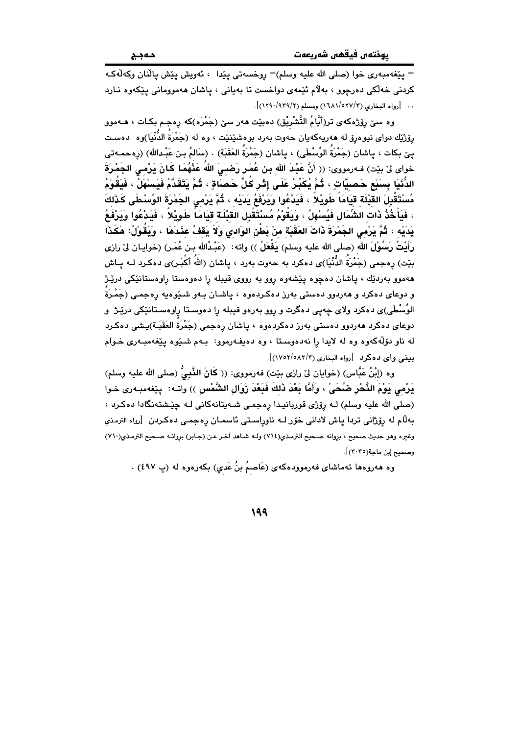– پٽغەمبەرى خوا (صلى الله عليه وسلم)– روخسەتى پٽدا ، ئەويش پٽش يالّنان وكەلّەكـە کردنی خهانکی دهرچوو ، بهلام ئێمهی دواخست تا بهیانی ، پاشان ههموومانی پێکهوه نـارد .. [رواه البخاري (٢/٥٢٧/٢) ومسلم (٢/١٢٩). (١٢٩٠/٩٣٩)].

وه سێ رِۆژەكەی تر(أَيَّامُ التَّشْرِيْق) دەبێت ھەر سێ (جَمْرَه)كە رِەجم بكـات ، ھـﻪموو رۆژێك دواى نيوهرۆ له ھەرپەكەيان حەوت بەرد بوەشێنێت ، وە لە (جَمْرَةَ الدُّنْيَا)وە دەست بِـِيْ بِـكات ، بِـاشان (جَمْرَةُ الوُسْطَى) ، بِـاشان (جَمْرَةُ العَقَبَة) . (سَالمُ بِـن عَبْـدالله) (رەحمـەتى خواى لِنَ بِيّت) فـﻪرمووى: (( أَنَّ عَبْدَ الله بِن عُمَر رَضـيَ اللهُ عَذْهُمَا كَـانَ يَرْمـِى الجَمْرَةَ الدُّنْيَا بِسَبْعِ حَصيَّاتٍ ، ثُمَّ يُكَبِّرُ عَلَى إِثْرِ كُلِّ حَصَاَةٍ ، ثُمَّ يَتَقَدَّمُ فَيَسْهَلُ ، فَيَقُوْمُ مُسْتَقْبِلَ القَبْلَة قِيَامَاً طَوِيْلاً ، فَيَدْعُوا وَيَرْفَعُ يَدَيْهِ ، ثُمَّ يَرْمِي الجَمْرَةَ الوُسْطَى كَذَلِكَ ، فَيَأْخُذُ ذَات الشِّمَال فَيُسْهِلُ ، وَيَقُوْمُ مُسْتَقْبِل القَبْلَة قَيَامَاً طَوِيْلاً ، فَيَدْعُوا وَيَرْفَعُ يَدَيْه ، ثُمَّ يَرْمى الجَمْرَةَ ذَاتَ العَقَبَة منْ بَطْنِ الوَادى وَلاَ يَقفُ عِنْدَهَا ، وَيَقُوْلُ: هَكَذَا رَأَيْتُ رَسُوْلَ الله (صلى الله عليه وسلم) يَفْعَلُ )) واته: (عَبْدُالله بـن عُمَـر) (خوايـان ليّ رازى بِيّت) رەجمى (جَمْرَةُ الدُّنْيَا)ى دەكرد بە حەوت بەرد ، ياشان (اللهُ أَكْبَـر)ى دەكـرد لـه يـاش ههموو بهردێك ، پاشان دهچوه پێشهوه روو به رووی قیبله را دهوهستا راوهستانێکی درێژ و دوعای دهکرد و ههردوو دهستی بهرز دهکردهوه ، پاشـان بـهو شـێوهیه رهجمـی (جَمْـرَةُ الوُسْطَى)ى دەكرد ولاى چەپى دەگرت و روو بەرەو قيبلە را دەوستا راوەسـتانێكى درێـژ و دوعای دهکرد ههردوو دهستی بهرز دهکردهوه ، پاشان رهجمی (جَمْرَة العَقَبَـة)يـشى دهکـرد له ناو دۆلّەكەوه وه له لايدا رِا نەدەوستا ، وه دەيفەرموو: بـهم شـێوه پێغەمبـەرى خـوام بيني واي دهكرد [رواه البخاري (١٢/٥٨٢/٢)].

وه (إبْنُ عَبَّاس) (خوايان ليٌ رازي بيّت) فهرمووي: (( كَانَ النَّبِيُّ (صلى الله عليه وسلم) يَرْمى يَوْمَ النَّحْرِ ضُحَىٍّ ، وَأَمَّا بَعْدَ ذَلكَ فَبَعْدَ زَوال الشَّمْس )) واتــه: -يێفهمبـهرى خـوا (صلى الله عليه وسلم) لـه رِۆرْی قوربانیدا رِهجمـی شـهیتانهکانی لـه چیششتهنگادا دهکرد ، بەللّام لە رۆژانى تردا ياش لادانى خۆر لــه ناوراسىتى ئاسمـان رەجمـى دەكـردن [رواه الترمـذي وغيره وهو حديث صحيح ، بروانه صحيح الترمذي(٧١٤) ولـه شـاهد آخـر عـن (جـابر) بروانـه صـحيح الترمذي(٧١٠) وصحيح إبن ماجة(٢٠٣٥)].

وه ههروهها تهماشای فهرموودهکهی (عَاصِمُ بنُ عَدِي) بکهرهوه له (پ ٤٩٧) .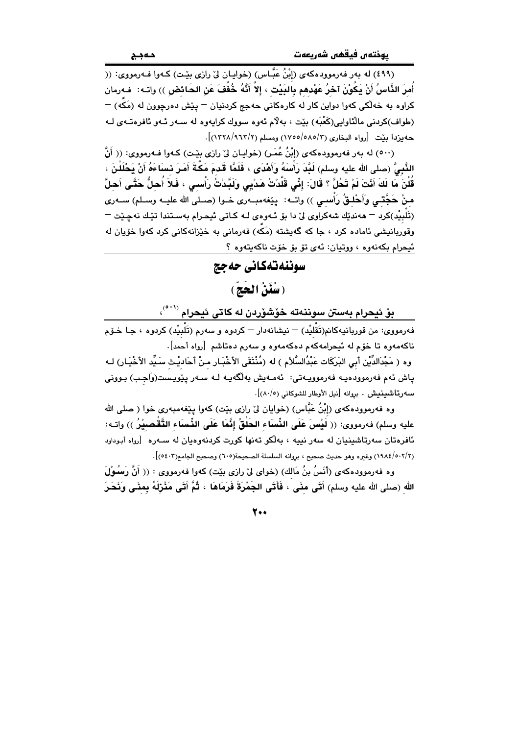(٤٩٩) له بهر فهرموودهکهي (اِبْنُ عَيَّاس) (خوابيان لِيْ رازي بِيْت) کـهوا فـهرمووي: (( أُمرَ النَّاسُ أَنْ يَكُوْنَ آخرُ عَهْدهم بِالبَيْتِ ، إلاَّ أَنَّهُ خُفِّفَ عَنِ الحَائض )) واتـه: ۚ فـهرمان کراوه به خهڵکی کهوا دواین کار له کارهکانی حهجج کردنیان <sup>—</sup> پێش دهرچوون له (مَکَه) <sup>—</sup> (طواف)کردنی مالٌئاوایی(کَعْبَه) بِیْت ، بِهِلْام ئەوە سووك کرابەوە لە سـەر ئـەو ئافرەتـەي لـە حه بزدا بيّت [رواه البخاري (٥٨٥/٢/ ١٧٥٥/٥٨٥) ومسلم (١٢٢٨/٩٦٢/١)].

(٥٠٠) له بهر فهرموودهكهي (إِبْنُ عُمَرٍ) (خوابيان ليّ رازي بيّت) كـهوا فـهرمووي: (( أَنَّ الذَّبِيُّ (صلى الله عليه وسلم) لَبَدَ رَأْسَهُ وَأَهْدَى ، فَلَمَّا قَدِمَ مَكَّةَ أَمَرَ نِساءَهُ أَنْ بَحْلَلْنَ ، قُلْنَ مَا لَكَ أَنْتَ لَمْ تَحُلَّ ؟ قَالَ: إِنِّي قَلَّدْتُ هَدْيِي وَلَبَّدْتُ رَأْسي ، فَلاَ أُحلُّ حَتَّي أحلَّ منْ حَجَّتـى وَأَحْلـقُ رَأْسـى )) واتــه: يێغهمبــهري خــوا (صــلي الله عليــه وســلم) ســهري (تَلْبِيْر)کرد = هەندێك شەکراوي لِيّ دا بِق ئـهوهي لـه کـاتي ئيجـرام بەسـتندا تێـك نەچـێت = وقوربانیشی ئاماده کرد ، جا که گەیشته (مَکَّه) فەرمانی بە خێزانەکانی کرد کەوا خۆیان لە ئيحرام بكەنەوە ، ووتيان: ئەي تۆ بۆ خۆت ناكەيتەوە ؟

#### سوننهتهكاني حهجج

### (سُنَنُ الْحَجّ)

بۆ ئيحرام بەستن سوننەتە خۆشۆردن لە كاتى ئيحرام <sup>(°</sup> ``<sup>،</sup>

فهرمووي: من قوريانيهڪانم(تَقْليْد) — نيشانهدار — کردوه و سهرم (تَلْبِيْد) کردوه ، جـا خـوّم ناكهمەوه تا خۆم لە ئېحرامەكەم دەكەمەوە و سەرم دەتاشم [رواە أحمد]. وه ( مَجْدَالدِّيْن أَبِي البَركَات عَبْدُالسَّلاَم ) له (مُنْتَقَى الأَخْبَـار مـنْ أَحَاديْـث سَـيِّد الأَخْيَـار) لـه

ياش ئەم فەرموودەيـە فەرموويـەتى: ئەمـەيش بەلگەيـە لـە سـەر يێويـست(وَاجب) بـوونى سه وتاشينيش . بروانه [نيل الأوطار للشوكاني (٨٠/٥)].

وه فهرموودهکهی (إبْنُ عَبَّاس) (خوایان لیٌ رازی بیّت) کهوا پی٘فهمبهری خوا ( صلی الله عليه وسلم) فهرمووى: (( لَيْسَ عَلَى الذِّسَاء الحَلْقُ إِنَّمَا عَلَى الذِّسَاء التَّقْصِيْرُ )) وات ئافرەتان سەرتاشىنيان لە سەر نييە ، بەلكو تەنھا كورت كردنەوەيان لە سـەرە [رواە أبـوداود (٢/٥٠٢/١٩٨٤) وغيره وهو حديث صحيح ، بروانه السلسلة الصحيحة(٦٠٥) وصحيح الجامع(٤٠٢)].

وه فەرموودەكەي (أَنَسُ بنُ مَالك) (خواي لِيْ رازى بيِّت) كەوا فەرمووى : (( أَنَّ رَسُمُوْلَ الله (صلى الله عليه وسلم) أَتَى منًى ، فَأَتَى الجَمْرَةَ فَرَمَاهَا ، ثُمَّ أَتَى مَثْرَلَهُ بِمنَى وَنَحَرَ

7.,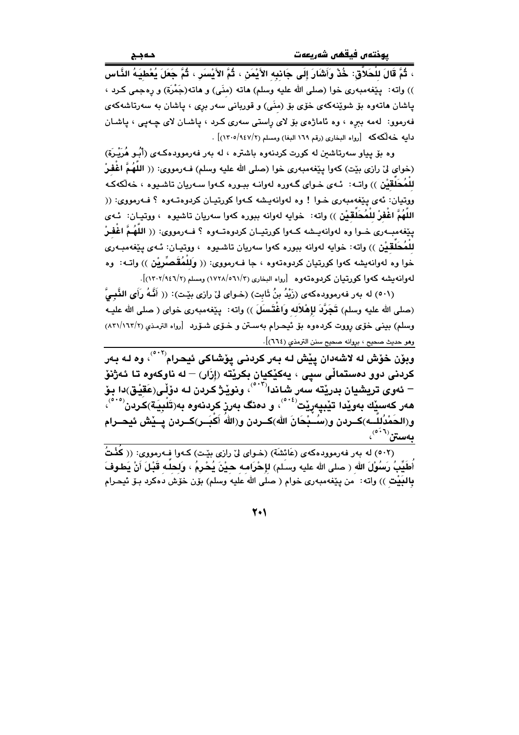، ثُمَّ قَالَ للْحَلاَّقِ: خُدْ وَأَشَارَ إِلَى جَانبِه الأَيْمَنِ ، ثُمَّ الأَيْسَرِ ، ثُمَّ جَعَلَ يُعْطِيَهُ النَّاس )) واته: ۖ بِيَغْه مبه ري خوا (صلى الله عليه وسلم) هاته (منِّي) و هاته(جَمْرَة) و رەجمى كـرد ، پاشان هاتەوه بۆ شوێنەكەي خۆى بۆ (منَى) و قوربانى سەر برى ، پاشان بە سەرتاشەكەي فهرموو: لهمه ببره ، وه ئاماژهي بۆ لاي راستي سهري كرد ، پاشان لاي چهيې ، پاشان دايه خه لكه كه [رواه البخارى (رقم ١٦٩ البغا) ومسلم (١٢٠٥/٩٤٧/٢)] .

وه بۆ پياو سەرتاشىن لە كورت كردنەوه باشترە ، لە بەر فەرموودەكـەي (أَبُـو هُرَيْـرَة) (خواى لىٰ رازى بيّت) كهوا پيّغهمبهرى خوا (صلى الله عليه وسلم) فــهرمووى: (( اللَّهُمَّ اغْفَـرْ للْمُحَلَّقِيْنِ )) واتــه: ئــهي خــواي گــهوره لـهوانــه ببــوره كــهوا ســهريان تاشـيوه ، خهلّكهكـه ووتيان: ئەي يێغەمبەرى خىوا ! وە لەوانەيشە كەوا كورتيان كردوەتـەوە ؟ فـەرمووى: (( اللَّهُمَّ اغْفِرْ للْمُحَلِّقِيْنِ ﴾) واته: خوايه لهوانه ببوره كهوا سهريان تاشيوه › ووتيـان: ئـهي يێغەمبــەرى خــوا وه لەوانەيــشە كــەوا كورتيــان كردوهتــەوه ؟ فــەرمووى: (( اللهُـمُّ اغْفـرْ للْمُحَلَّقَيْن )) واته: خوابه لهوانه ببوره كهوا سهريان تاشـيوه ، ووتيـان: ئـهى يـێغهمبـهري خوا وه لهوانهبشه كهوا كورتيان كردوهتهوه ، جا فـهرمووي: (( وَلِلْمُقَصِّرِيْنِ )) واتـه: "وه لهوانه بشه كهوا كورتيان كربوهتهوه [رواه البخاري (٦١/٣٥/١٧٢٨) ومسلم (١٢٠٢/١٤٦/٢)].

(٥٠١) له بهر فهرموودهكهي (زَيْدُ بنُ ثَابِت) (خـواي ليْ رازي بيْـت): (( أَنَّـهُ رَأَى النَّبـيُّ (صلى الله عليه وسلم) تَجَرَّدَ لإهْلاَله واغْتَسلَ )) واته: ۖ يـيْغهمبهري خواي ( صلى الله عليـه وسلم) بيني خوّي رووت كردهوه بوّ ئيحرام بهستن و خـوّي شـوّرد [رواه الترمـذي (١٦٢/١٦٢/٢) وهو حديث صحيح ، بروانه صحيح سنن الترمذي (٦٦٤)].

وبۆن خۆش له لاشەدان پێش لـه بـەر كردنـى يۆشـاكى ئيحـرام<sup>(°</sup> ْ ْ )، وه لـه بـەر کردنی دوو دهستمالّی سیی ، یهکیّکیان بکریّته (إزَار) — له ناوکهوه تا ئـهژنوّ هەر كەسىيك بەويدا تيبيەريت<sup>(356)</sup>، و دەنگ بەرز كردنەوە بەرتَلْبِيَة)كردن<sup>(866)</sup>، و(الحَمْدُللّــه)كــردن و(سُــبْحَانَ الله)كــردن و(اللهُ أَكْبَــر)كــردن يــيْش ئيحــرام  $\mathfrak{c}^{(\ell^{(1)})}$ بەستن

(٥٠٢) له بهر فهرموودهكهي (عَائشَة) (خـواي ليّ رازي بيّـت) كـهوا فـهرمووي: (( كَفْتُ أَطَيِّبُ رَسُوْلَ الله ( صلى الله عليه وسلم) لإحْرَامـه حـيْنَ يُحْرِمُ ، وَلحلَـه قَبْلَ أَنْ يَطوفَ بِالْبَيْتِ )) واته: من يێغهمبهري خوام ( صلى الله عليه وسلم) بۆن خۆش دەكرد بـۆ ئيحـرام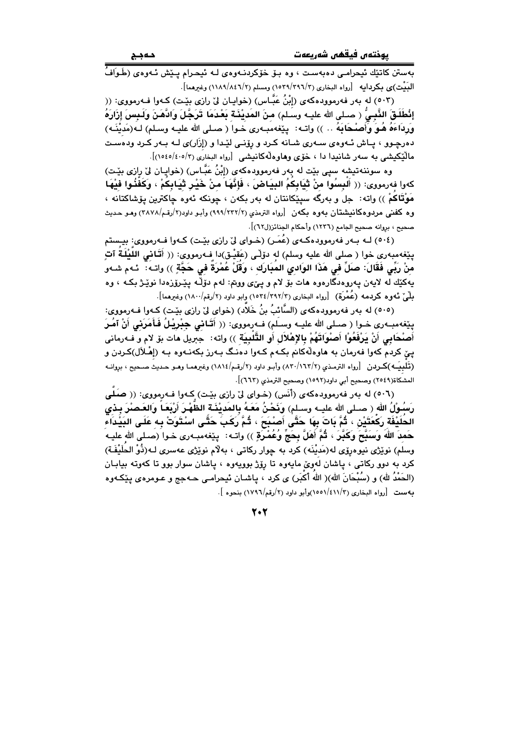بەستن كاتٽِك ئيحرامـي دەبەسـت ، وە بـۆ خۆكردنــەوەي لــه ئيحـرام يـێش ئــەوەي (طَـوَافُّ الْبَيْتِ)ى بِكرِدايه [رواه البخارى (٢٩٦/٣٩٦/٣) ومسلم (٢/٢٩٨/١٨٤٦) وغيرهما].

(٥٠٣) له بهر فهرموودهکهي (إِبْنُ عَبَّـاس) (خوايـان ليّ رازي بێت) کـهوا فـهرمووي: (( إِنْطُلُقَ النَّبِيُّ ( صـلى الله عليـه وسـلم) منَ المُديْنَـة بَعْدَمَا تَرَجَّلَ وَادْهَنَّ وَلَـبِسَ إِزَارَهُ وَرِدَاءَهُ هُـوَ وَأَصِنْحَابَهُ .. )) واتـه: يێغهمبـهري خـوا ( صـلي الله عليـه وسـلم) لـه(مَديْنَـه) دهرچـوو ، پـاش ئـهوهى سـهرى شـانه كـرد و رۆنـى لێـدا و (إزَار)ى لـه بـهر كـرد ودهسـت مالْيُكِيشي به سهر شانيدا دا ، خوّى وهاوهلّهكانيشي [رواه البخاري (٢/٥٤٥/٤٠٥)].

وه سوننهتیشه سپی بێت له بهر فهرموودهکهی (إِبْنُ عَبَّاس) (خواپـان لیٌ رِازی بێـت) كهوا فهرمووى: (( أَلبِسُوا مِنْ ثَيَابِكمُ البِيَاضَ ، فَإِنَّهَا منْ خَيْرٍ ثَيَابِكُمْ ، وَكَفّْذُوا فَيْهَا مَوْتَاكُمْ )) واته: جل و بەرگە سیێکانتان له بەر بکەن ، چونکە ئەوە چاکترین یۆشاکتانە ، وه كُفْنَى مردوهكانيشتان بەوە بكەن [رواه الترمذي (٢٢٢/٢٣٢) وأبـو داود(٢/رقـم/٢٨٧٨) وهـو حـديث صحيح ، بروانه صحيح الجامع (١٢٣٦) وأحكام الجنائز(ل٦٢)].

(٥٠٤) لـه بـهر فهرموودهكـهي (عُمَـر) (خـواي ليّ رازي بيّـت) كـهوا فـهرمووي: بيـستم بِيّغهمبهرى خوا ( صلى الله عليه وسلم) له دوّلْـى (عَقيْـق)دا فـهرمووى: (( أَقَـانـى اللَّـيْلَـةُ آتٍ منْ رَبِّي فَقَالَ: صَلِّ في هَذَا الوَادي المبَارَك ، وَقَلْ عُمْرَة في حَجَّةٍ )) واتـه: ئـهم شـهو يهکێك له لايهن پهروهدگارهوه هات بۆ لام و پێی وونم: لهم دۆڵـه پێـرۆزهدا نوێـژ بکـه ، وه مِلْمَىٰ ئـ9وه كـردمه (عُمْرَة) [رواه البخارى (٢٩٢/٢٩٢) وابو داود (٢/رقم/١٨٠٠) وغيرهما].

(٥٠٥) له بهر فهرموودهكهي (السَّائبُ بنُ خَلاد) (خواي ليِّ رازي بيِّت) كـهوا فـهرمووي: يێِغەمبــەرى خـوا ( صـلى الله عليــه وسـلَم) فــهرمووى: (( أَقَـانى جِبْرِيْـلُ فَـأَمَرَنى أَنْ آمُـرَ أَصنْحَابِي أَنْ يَرْفَعُوْا أَصنُواَتَهُمْ بِالإِهْلاَلِ أَو التُّلْبِيَة )) واته: ۚ جبريل هات بِق لام و فـه رمانى پێ کردم کهوا فهرمان به هاوهڵهکانم بکـهم کـهوا دهنـگ بـهرز بکهنـهوه بـه (إِهْـلاَل)کـردن و (تَلبِيَـه)كـردن [رواه الترمـذي (٨٣٠/١٦٢/٢) وأبـو داود (٢/رقـم/١٨١٤) وغيرهمـا وهـو حـديث صـحيح ، بروانـه المشكاة(٢٥٤٩) وصحيح أبي داود(١٥٩٢) وصحيح الترمذي (٦٦٢)].

(٥٠٦) له بهر فهرموودهكهي (أنس) (خواي لي رازي بيّت) كهوا فهرمووي: (( صلى رَسُولُ الله ( صـلى الله عليــه وسـلم) وَنَحْنُ مَعَـهُ بِالمَديْنَـة الظَّهْـرَ أَرْبَعَـاً وَالعَـصْرَ بِـدْي الحُلَيْفَة رَكْعَتَيْن ، ثُمَّ بَاتَ بِهَا حَتَّى أَصْبَحَ ، ثُمَّ رَكَبَ حَتَّى اسْتَوَتْ بِه عَلَى البَيْدَاء حَمدَ اللَّهَ وَسَبَّحَ وَكَبَّرَ ، ثُمَّ أَهَلَّ بِحَجٍّ وُعُمْرَةٍ )) واتـه: يێفهمبـهري خـوا (صـلى الله عليـه وسلم) نوێڗٝی نیوهڕێێ له(مَدیْنَه) کرد به چوار رکاتی ، بهلام نوێڗٝی عهسری لـه(ذُوْ الحلَیْفَـة) کرد به دوو رکاتی ، پاشان لهویٰ مایهوه تا رِپُرژ بوویهوه ، پاشان سوار بوو تا کهوته بیابـان (الحَمْدُ لله) و (سُبْحَانَ الله)( الله أكبَر) ي كرد ، ياشـان ئيحرامـي حــهجج و عـومرهي يـێِكـهوه به ست [رواه البخاري (٤١١/٣)(١٥٥١)وأبو داود (٢/رقم/١٧٩٦) بنحوه ].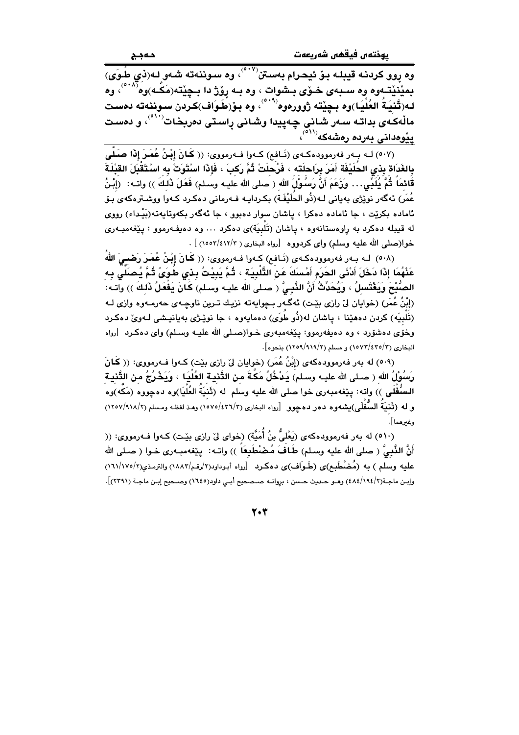بمێۘنێتەوه وه سىبەي خىۆي بىشوات ، وه بـه رۆژ دا بىچێتە(مَكّـه)وه<sup>(٥٠٨)</sup>، وه لـه(تَّنيَـةُ العُلْيَـا)وه بـڃێته ژوورهوه<sup>(°°°)</sup>، وه بـۆ(طَـوَاف)كـردن سـوننهته دهسـت مالّەكَەى بداتـە سـەر شـانى چـەپيدا وشـانى راسـتى دەربخـات<sup>‹٬٬٬</sup>٬ و دەسـت <u>پِیْوەد</u>انی بەردە رەشەكە<sup>((آە</sup>)،

(٥٠٧) لـه بـهر فهرموودهكـهى (نَـافع) كـهوا فـهرمووى: (( كَانَ إِبْنُ عُمَـرَ إِذَا صَلَّى بِالغَدَاة بِذي الحُلَيْفَة أَمَرَ بِرَاحلَته ، فَرُحلَتْ ثُمَّ رَكبَ ، فَإِذا اسْتَوَتْ بِه اسْتَقْبَلَ القبْلَة قَائمَاً ثُمَّ يُلَدِّى… وزَعَمَ أَنَّ رَسُوْلَ الله ( صلى الله عليـه وسـلم) فَعَلَ ذَلـكَ )) واتـه: ﴿إِبْنُ عُمَرٍ) ئەگەر نوێژى بەيانى لـﻪ(ذُو الحَلَيْفَـة) بكـردايـﻪ فـﻪرمانى دەكـرد كـﻪوا ووشـترەكەي بـۆ ئاماده بکرێت ، جا ئاماده دهکرا ، پاشان سوار دهبوو ، جا ئهگهر بکهوتايهته(بَيْداء) رووى له قيبله دهکرد به راوهستانهوه ، ياشان (تَلْبِيَة)ى دهکرد … وه دهيفهرموو : يێغهمبـهرى خوا(صلى الله عليه وسلم) واي كردووه [رواه البخاري ( ٢/٤١٢/٢١٥٥٣) ] .

(٥٠٨) لـه بـهر فهرموودهكـهى (نَـافع) كـهوا فـهرمووى: (( كَانَ إِبْنُ عُمَرَ رَضْمِيَ اللهُ عَذْهُمَا إِذَا دَخَلَ أَدْنَى الحَرَم أَمْسَكَ عَنْ التَّلْبِيَة ، ثُمَّ يَبِيْتُ بِذي طُوَىً ثُمَّ يُصَلَّى به الصُّبْحَ وَيَغْتَسِلُ ، وَيُحَدِّثُ أَنَّ النَّبِيَّ ( صلى الله عليـه وسـلم) كَـانَ يَفْعَلُ ذَلِكَ )) واتـه: (إِبْنُ عُمَرٍ) (خوايان ليٌ رازي بِيْتٍ) ئهگـهر بـڃوايهته نزيـك تـرين ناوڃـهي حهرمـهوه وازي لـه (تَلْبِيَهِ) کردن دههێنا ، پاشان له(ذُو طَوَى) دهمايهوه ، جا نوێـژی بهيانيـشي لـهويٌ دهکـرد وخُوَّى دهشۆرد ، وه دەيفەرموو: يێغەمبەرى خـوا(صـلـى الله عليــه وسـلم) واى دەكـرد [رواه البخاري (١٥٧٣/٤٣٥/٢) و مسلم (٩١٩/٩١٩/٢) بنحوه].

(٥٠٩) له بهر فهرموودهکهي (إِبْنُ عُمَرٍ) (خوايان ليٌ رازي بيّت) کـهوا فـهرمووي: (( کَـانَ رَسُوْلُ الله ( صـلى الله عليـه وسـلم) يَدْخُلُ مَكَّةَ مـن التَّنيـة العُلْيَـا ، وَيَخْرُجُ مـن التَّنيـة السُفْلَى )) واته: يێغەمبەرى خوا صلى الله عليه وسلم له (ثَنيَةُ العُلْيَا)وه دەچووه (مَكَّه)وه و له (تَنْبَةَ السُّفْلَى)بِشەوە دەر دەچوق [رواه البخارى (١٥٧٥/٤٣٦/٢) وهـذ لفظـه ومـسلم (١٢٥٧/٩١٨/٢) وغىرھما].

(٥١٠) له بهر فهرموودهكهي (يَعْلَىُّ بنُ أُمَيَّة) (خواي ليّ رازي بيّت) كـهوا فـهرمووي: (( أَنَّ النَّبِيَّ ( صلى الله عليه وسـلم) طَـاَفَ مُـصْنْطَبِعَاً )) واتـه: يـيّفهمبـهري خـوا ( صـلى الله عليه وسلم ) به (مُضْطَبِم)ى (طَوَاف)ى دەكرد [رواه أبوداود(٢/رقم/١٨٨٣) والترمذى(٢/١٧٥/١٦١) وإبـن ماجـة(٢/١٩٤/٢) وهـو حـديث حـسن ، بروانـه صـصحيح أبـي داود(١٦٤٥) وصـحيح إبـن ماجـة (٢٣٩١)].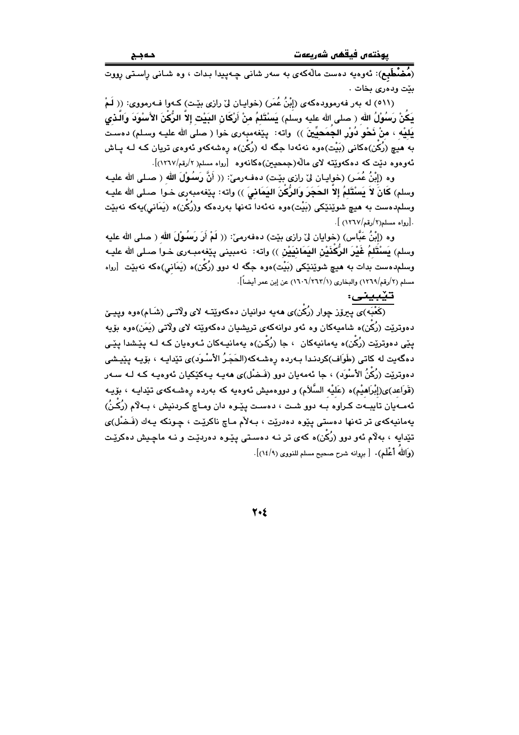يوختەن فيقفىن شەربعەت

.<br>(**مُضْطَبِم**): ئەوەبە دەست مالەكەي بە سەر شانى چەپيدا بىدات ، وە شـانى راسىتى رووت بێت ودهری بخات .

(٥١١) له بهر فهرموودهكهى (إِبْنُ عُمَرٍ) (خوايـان ليٌ رازي بيّـت) كـهوا فـهرمووي: (( لَـمْ يَكُنْ رَسُوْلُ الله ( صلى الله عليه وسلم) يَسْتَلَمُ منْ أَرْكَانِ البَيْتِ إلاّ الرُّكْنَ الأَسْوَدَ وَالَّذى يَلِيْه ، منْ نَحْو دُورْ الجِمَحِيِّينَ )) واته: يێغهمبهري خوا ( صلى الله عليـه وسـلم) دهسـت به هيچ (رُکن)هکاني (بَيْت)هوه نهئهدا جگه له (رُکن)ه رهشهکهو ئهوهي تريان کـه لـه پـاش ئەوەوە دێت كە دەكەوێتە لاي مالّە(جمحیین)ەكانەوە [رواه مسلم( ۲/رقم/۱۲٦۷)].

وه (إِبْنُ عُمَـرٍ) (خوايـان ليّ رازي بيّـت) دهفـهرميّ: (( أَنَّ رَسُـوْلَ الله ( صـلى الله عليـه وسلم) كَانَ لاَ يَسْتَلَمُ إلاّ الحَجَرَ وَالرَّكَنَ اليَمَانيَ )) واته: بِيْغهمبهري خـوا صـلى الله عليـه وسلمدهست به هيچ شوێنێکي (بَيْت)هوه نهئهدا تهنها بهردهکه و(رُکِّن)ه (يَمَانى)يهکه نهبێت . [رواه مسلم(٢/رقم/١٢٦٧) ].

وه (إِبْنُ عَبَّاس) (خوايان ليّ رازي بيّت) دهفهرميّ: (( لَمْ أَوَ وَسُوْلَ الله ( صلى الله عليه وسلم) يَسْتَلَمُ غَيْرَ الرَّكذَيْنِ اليَمَانِيَيْنِ )) واته: نهمبيني يێغهمبـهري خـوا صـلي الله عليـه وسلم۱همست بدات به هيچ شوێنێکي (بَيْت)هوه جگه له دوو (رُکَن)ه (يَمَاني)هکه نهبێت [رواه مسلم (٢/رقم/١٢٦٩) والبخاري (١/٢٦٢/١) عن إبن عمر أيضاً].

تێبيني:

.<br>(کَعْبَه)ی پیروز چوار (رُکْن)ی ههیه دوانیان دهکهوییّــه لای ولاّتــی (شَــام)هوه وپیـــێ دهوترنیت (رُکَن)ه شامیهکان وه ئهو دوانهکهی تریشیان دهکهوییّته لای ولاتی (یَمَن)هوه بوّیه يٽِي دهوتريٽ (رُکُن)ه پهمانپهکان ، جا (رُکُن)ه پهمانپـهکان ئـهوهيان کـه لـه پٽِشدا پٽِي دهگەيت لە كاتى (طَوَاف)كردنـدا بـەردە رەشـەكە(الحَجَرُ الأَسْـوَد)ى تێدايـە ، بۆيـە يێيـشى دەوترێت (رُکّنُ الأَسْوَد) ، جا ئەمەيان دور (فَـضْل)ى ھەيـە يـەکێکيان ئەوەيـە کـە لـە سـەر (قَوَاعد)ی(إِبْرَاهيْم)ه (عَليْه السَّلاَم) و دووهميش ئەوەيە كە بەردە رەشـەكەی تێدايـە ، بۆيـە ئەمـەيان تايبـەت كـراوه بـه دوو شـت ، دەسـت يێـوه دان ومـاچ كـردنيش ، بـەلاّم (رُكَـنُ) يەمانيەكەي تر تەنھا دەستى يێوە دەدرێت ، بەلأم ماچ ناكرێت ، چونكە يەك (فَـضْل)ى تێدايه ، بهلام ئەو دوو (رُکُن)ه کەي تر نـه دەسـتى پێوه دەردێت و نـه ماچـیش دەکرێت (وَاللَّهَ أَعْلَمَ)٠ [ بروانه شرح صحيح مسلم للنووي (١٤/٩)]٠.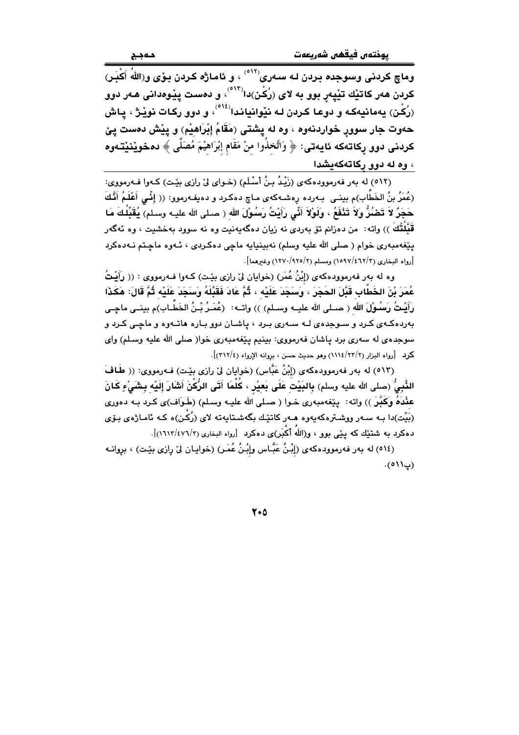وماچ کردنی وسوجده بردن لـه سـهری<sup>(۱۲</sup>ْ) ، و ئامـاژه کـردن بـۆی و $(\overrightarrow{\textrm{th}})$  آَکْبَـر) کردن هەر کاتیّك تیّپەر بوو به لا*ی (رُ*کْن)دا<sup>(٥١٣)</sup>، و دەست يیّوەدانى هەر دوو (رُکِّن) پهمانيهکه و دوعـا کـردن لـه نێوانيانـدا<sup>(١٤)</sup>، و دوو رکـات نوێـِژ ، پـاش حەوت جار سوور خواردنەوە ، وە لە يشتى (مَقَامُ إِبْرَاهِيْم) و يِيْش دەست يێ كردنى دوو ركاتەكە ئايەتى: ﴿ وَاتَّخذُوا منْ مَقَام إبْرَاهيْمَ مُصَلَّى ﴾ دەخوێنێتەوە ، وه له دوو ركاتهكهيشدا

(٥١٢) له بهر فهرموودهکهي (زَيْدُ بنُ أَسْلَمِ) (خـواي ليْ رازي بێت) کـهوا فـهرمووي: (عُمَرُ بنُ الخَطَّابِ)م بينـي بـهرده رهشـهكهي مـاچ دهكـرد و دهيفـهرموو: (( إِنَّـي أَعْلَـمُ أَنَّـكَ حَجَرٌ لاَ تَصْنُرُ وَلاَ تَذْفَعُ ، ولَوْلاَ أَنِّى رَأَيْتُ رَسُوْلَ الله ( صـلى الله عليـه وسـلم) يُقَبِّلُكَ مَا قَبَّلْتُكَ )) واته: من دەزانم تۆ بەردى نە زيان دەگەپەنىت وە نە سوود بەخشىت ، وە ئەگەر يٽغهمبهري خوام ( صلي الله عليه وسلم) نهبينيايه ماڃي دهکردي ، ئـهوه ماڃـتم نـهدهکرد [رواه البخاري (٢/٤٦٢/٤) ومسلم (٢/٩٢٥) وغيرهما].

وه له بهر فهرموودهکهي (إِبْنُ عُمَرٍ) (خوايان ليٌ رازي بِيْتٍ) کـهوا فـهرمووي : (( رَأَيْتُ عُمَرَ بْنَ الخَطَّابِ قَدَّلَ الحَجَرَ ، وَسَجَدَ عَلَيْه ، ثُمَّ عَادَ فَقَدَّلَهُ وَسَجَدَ عَلَيْه ثُمَّ قَالَ: هَكَذَا رَأَيْتُ رَسُوْلَ الله ( صـلى الله عليــه وسـلم) )) واتــه: (عُمَـرُ بْـنُ الخَطَّـاب)م بينــى ماچـى بهرده کهی کرد و سوجدهی لـه سـهری بـرد ، یاشـان دوو بـاره هاتـهوه و ماچـی کـرد و سوجده ی له سهری برد پاشان فهرمووی: بینیم پیّغهمبهری خوا( صلی الله علیه وسلم) وای كرد [رواه البزار (٢/٢٢/١١١٤) وهو حديث حسن ، بروانه الإرواء (٣١٢/٤)].

(٥١٣) له بهر فهرموودهكهي (إِبْنُ عَبَّاس) (خوايان ليِّ رازي بيِّت) فـهرمووي: (( طَافَ الذَّبِيُّ (صلى الله عليه وسلم) بالبَيْت عَلَى بَعيْر ، كُلَّمَا أَتَى الرُّكْنَ أَشَارَ إِلَيْه بِشَىْءٍ كَانَ عَثْدَهُ وَكَبَّرَ )) واته: پێغهمبهری خـوا ( صـلی الله علیـه وسـلم) (طَـوَاف)ی کـرد بـه دهوری (بَيْت)دا بـه سـهر ووشـترهکهيهوه هـهر کاتێك بگهشـتايهته لای (رُکْـن)ه کـه ئامـاژهى بـۆی دهکرد به شتتیك که پیّمی بوو ، و(اللهُ أَکْبَر)ی دهکرد  $[\langle v \mathrm{1} \rangle \mathrm{1} \rangle \mathrm{1} \langle \mathrm{2} \rangle \mathrm{1} \rangle \mathrm{1} \langle \mathrm{1} \rangle$ .

(٥١٤) له بهر فهرموودهكهى (إِبْنُ عَبَّاس وإِبْنُ عُمَرٍ) (خوايان ليٌ رِازِي بيِّت) ، برِوانـه  $(9119)$ .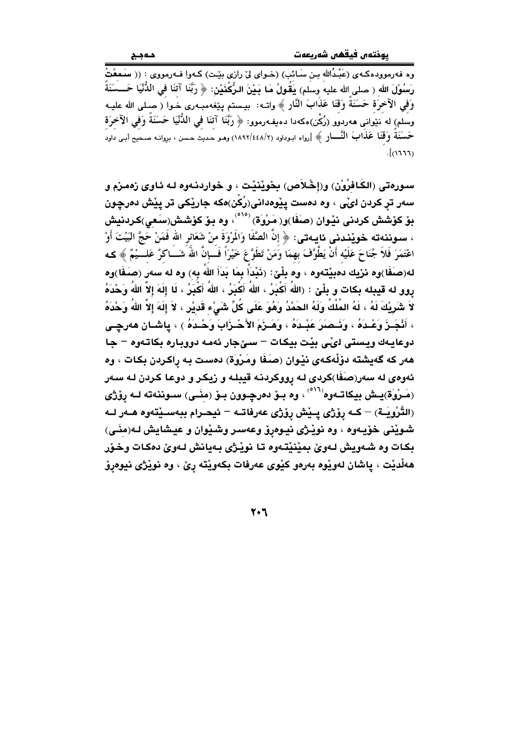.<br>وه فه رمووده کـهى (عَبْدُالله بـن سَـائب) (خـواى لى رازى بيّـت) کـهوا فـه رمووى : (( سَمِعْتُ رَسُوْلَ اللهِ ( صلى الله عليه وسلَم) يَقُولُ مَا بَـيْنَ الـرُّكْنَيْن: ﴿ رَبَّنَا آتَنَا فِى الدُّنْيَا حَــسَنَةً وَفَّى الآخرَة حَسَنَةً وَقْنَا عَذَابَ النَّارِ ﴾ واتــه: بيـستم يێغهمبـهري خـوا ( صـلى الله عليـه وسُلم) له نَيْواني هەردوُو (رُكْن)هكەدا دەيفەرموو: ﴿ رَبَّنَا آتَنَا فِي اللُّنْيَا حَسَنَةً وَفِي الآخرَة حَسَنَةً وَقَنَا عَلْمَابَ النَّـــار ﴾ [رواه ابـوداود (١٨٩٢/٤٤٨/٢) وهـو حديثَ حـسن ، بروانـه صـحيح أبـى داود  $\sqrt{(\mathbf{u} \cdot \mathbf{v})}$ 

سورهتي (الكَافرُوْنْ) و(إخْلاَص) بِخويْنيْت ، و خواردنـهوه لـه ئـاوي زهمـزم و سەر تر كردن لىْي ، وه دەست يێوەدانى(رُكْن)ەكە جارێكى تر يێش دەرچون بِوْ كوْشش كردنى نيْـوان (صَفَا)و( مَرْوَة) <sup>(٥١٥)</sup>، وه بـوْ كوْشـش(سَعى)كـردنيش ، سـوننـهتـه خويننـدني ئـايـهتي: ﴿ إِنَّ الصَّفَا وَالَمِرْوَةَ منْ شَعَائرِ الله فَمَنْ حَجَّ البَيْتَ أَوْ اعْتَمَرَ فَلاَ جُنَاحَ عَلَيْه أَنْ يَطَّوَّفَ بهمَا وَمَنْ تَطَوَّعَ خَيْرَاً فَــَإِنَّ اللَّهَ شَــاكرٌ عَلـــيْمٌ ﴾ كـه له(صَغَا)وه نزيك دهينْتهوه ، وه يلْيٌ: (نَيْدَأُ بِمَا يَدَأَ اللهُ بِهِ) وه له سهر (صَغَا)وه روو له قيبله بكات و بِلْێ : (اللهُ أَكْبَرُ ، اللهُ أَكْبَرُ ، اللهُ أَكْبَرُ ، لَا إِلَهَ إِلاَّ اللهُ وَحْدَهُ لاَ شَرِيْكَ لَهُ ، لَهُ المُلْكُ وَلَهُ الحَمْدُ وَهُوَ عَلَى كُلِّ شَيْء قَديْرٍ ، لاَ إِلَهَ إلاَّ اللهُ وَحْدَهُ ، أَنْجَـزَ وَعْـدَهُ ، وَنَـصَرَ عَبْـدَهُ ، وَهَـزَمَ الأَحْـزَابَ وَحْـدَهُ ) ، ياشـان هەرچـى دوعايـهك ويستى ايِّـى بِيِّت بِيكات – سـيْجار ئهمـه دووبـاره بكاتـهوه – جا هەر كە گەيشتە دۆڵەكەي نێوان (صَفَا ومَرْوَة) دەست بە راكردن بكات ، وە ئەوەي لە سەر(صَفَا)كردى لـه رووكردنـه قيبلـه و ريكـر و دوعـا كـردن لـه سـەر (مَـرْوَة)يـش بيكاتـهوه'<sup>\`\°)</sup> ، وه بـوْ دەرچـوون بـوْ (مِنَـى) سـوننەته لــه پوْژى (التَّرْوِيَــة) — كــه روْژي يــيْش روْژي عەرفاتــه — ئيحــرام ببـهســيْتـهوه هــهر لــه شويْنی خۆپەوە ، وە نويْـژى نيـوەرۆ وعەسـر وشـێوان و عيـشايش لـە(منَـی) بكات وه شـهويش لـهويٌ بميْنيْتـهوه تـا نويْـژي بـهيانش لـهويٌ دهكـات وخـوْر هەڵدێت ، ياشان لەوێوە بەرەو كێوى عەرفات بكەوێتە رِێ ، وە نوێڗ*ێ* نيوەڕۆ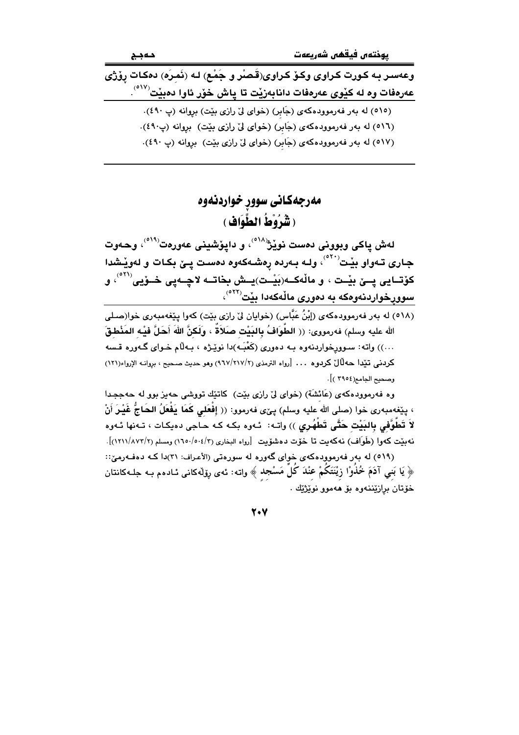وعەسىر بـه كـورت كـراوى وكـۆ كـراوى(قَـصـُر و جَمْـع) لـه (نَمـرَه) دەكـات رِوْرْى عەرەفات وە لە كێوى عەرەفات دانابەزێت تا ياش خۆر ئاوا دەبێت<sup>(٥١٧)</sup>.

> (٥١٥) له بهر فهرموودهكهى (جَابِر) (خواى ليّ رازى بيّت) بروانه (پ ٤٩٠). (٥١٦) له بهر فهرموودهكهى (جَابِر) (خواى ليِّ رازى بيّت) بروانه (پ٤٩٠). (٥١٧) له بهر فهرموودهکهی (جَابِرِ) (خوای ليّ رازی بيّت) بروانه (پ ٤٩٠).

### مەرجەكانى سوور خواردنەوە (شَرُوْطُ الطَّوَافِ)

لەش ياكى وبوونى دەست نويْژْ<sup>^^°</sup>، و دايۆشينى عەورەت<sup>°^°،</sup> وحەوت جاری تـهواو بێت<sup>٬٥٢٠</sup>٬ ولـه بـهرده رِهشـهکهوه دهست پـێ بکـات و لهوێـشدا کۆتــايى پــێ بێـت ، و ماڵەكــە(بَيْـت)يــش بخاتــه لاچــەپى خــۆيى<sup>(٥٢١)</sup>، و سوورپخواردنهوهکه به د*هوری* مالْهکهدا بێت<sup>(٥٢٢)</sup>،

(٥١٨) له بەر فەرموودەكەي (إِبْنُ عَبَّاس) (خوايان لِيْ رازِي بِيْت) كەوا يِيْغەمبەرى خوا(صلى الله عليه وسلم) فەرمووى: (( الطَّوَافُ بِالبَيْت صَلاَةٌ ، وَلَكنَّ اللهَ أَحَلَّ فَيْـه المَذْطقَ ...)) واته: سوورخواردنهوه بـه دهوري (كَعْبَـه)دا نويْـژه ، بـهلّام خـواي گـهوره قـسه كردني تيّدا حهلّالٌ كردوه ... [رواه الترمذي (٢/٢١٧/٢١) وهو حديث صحيح ، بروانـه الإرواء(١٢١) وصحبح الجامع(٢٩٥٤)].

وه فەرموودەكەي (عَائشَة) (خواي ليّ رازي بيّت) كاتتك تووشى حەيز بوو لە حەججدا ، يێغەمبەرى خوا (صلى الله عليه وسلم) يـێى فەرموو: (( إفْعَلى كَمَا يَفْعَلُ الحَاجُّ غَيْـرَ أَنْ لاَ تَطُوَّفي بِالبَيْتِ حَتَّى تَطْهُرِي )) واتـه: ئـهوه بكـه كـه حـاجي دهيكـات ، تـهنها ئـهوه نه بنيت كهوا (طَوَاف) نهكهيت تا خوّت دهشوّيت [رواه البخاري (٢/٥٠٤/٣) ومسلم (٢/١٢١١/٨٧٢)]. (٥١٩) له بهر فهرموودهکهی خوای گهوره له سورهتی (الأعراف: ٣١)دا کـه دهفـهرميّ::

﴿ يَا بَنِي آدَمَ خُلُوْا زِيْنَتَكُمْ عَنْدَ كُلَّ مَسْجَدٍ ﴾ واته: ئەي رۆلەكانى ئـادەم بـه جلـەكانتان خۆتان برازێننەوە بۆ ھەموو نوێژێك .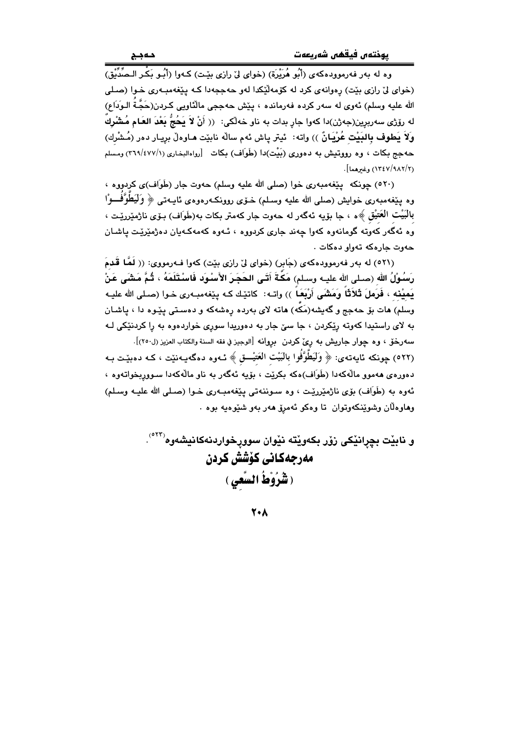.<br>وه له بهر فهرموودهكهي (أَبُو هُرَيْرة) (خواي ليّ رازي بيّت) كـهوا (أَبُـو بَكْـر الـصِّدِّيْق) (خوای لیّ رازی بیّت) رهوانهی کرد له کوّمهانّیکدا لهو حهججهدا کـه پیّغهمبـهری خـوا (صـلی الله عليه وسلم) ئەوي لە سەر كردە فەرماندە ، پێش حەججى مالْئاويى كـردن(حَجَّـةُ الـوَدَاعِ) له رۆژى سەربرين(جەژن)دا كەوا جار بدات بە ناو خەلكى: (( أَنْ لاَ يَحُجُّ بَعْدَ العَـام مُـشْركٌ ۖ ولاً يَطوف بِالبَيْتِ عُرْيَـانٌ )) واته: ۖ ئيتر ياش ئهم سالِّه نابيّت هـاوهلْ بريـار دهر (مُـشْرك) حهجج بکات ، وه رووتیش به دهوری (بَیْت)دا (طَوَاف) بکات [رواهالبخاری (٢٦٩/٤٧٧/١) ومسلم (١٢/٩٨٢/٩٨٢) وغيرهما].

(٥٢٠) چونکه پێغهمبهري خوا (صلى الله عليه وسلم) حهوت جار (طَوَاف)ي کردووه ، وه يێِغەمبەرى خوابش (صلى الله عليه وسلم) خـۆي روونكـەرەوەي ئايـەتى ﴿ وَلَيَطَوَّفَــوْا بالبَيْت العَتيْق ﴾ه ، جا بۆيە ئەگەر لە حەوت جار كەمتر بكات بە(طَوَاف) بىۆى ناژمێررێت ، .<br>وه ئەگەر كەوتە گومانەوە كەوا چەند جارى كردووە ، ئـەوە كەمەكـەيان دەژمێرێت ياشـان جهوت جارهكه تهواو دهكات .

(٥٢١) له بهر فهرموودهکهي (جَابِر) (خواي ليّ رازي بِيّت) کهوا فـهرمووي: (( لَمَّا قَدِمَ رَسُوْلُ اللهِ (صـلى الله عليــه وسـلم) مَكَّةَ أَتَـى الحَجَـرَ الأَسْـوَد فَاسْـتَلَمَهُ ، ثُـمَّ مَشَى عَنْ يَميْنه ، فَرَملَ ثَلاَثَاً وَمَشَى أَرْبَعَاً )) واتـه: كاتيّك كـه ييّغهمبـهري خـوا (صـلى الله عليـه وسلم) هات بِق حهجج و گهیشه(مَکه) هاته لای بهرده رهشهکه و دهستی پێوه دا ، پاشـان به لای راستیدا کهوته ریکردن ، جا سیّ جار به دهوریدا سوری خواردهوه به را کردنیکی لـه سه٫رخٽ ، وه چوار جاريش به ڕێَ کردن بڕوانه [الوجيز في فقه السنة والکتاب العزيز (ل٢٥٠)]. (٥٢٢) چونکه ئايەتەي: ﴿ وَلَيَطْوَّفُوا بِالْبَيْت الْعَتَيْـــق ﴾ ئــهوه دهگهيــهنێت ، کــه دەبێـت بــه دهورهي ههموو مالّهکهدا (طَوَاف)هکه بکرێت ، بۆيه ئهگهر به ناو مالّهکهدا سـووربخواتـهوه ، ئەوە بە (طَوَاف) بۆي ناژمێررێت ، وە سىوننەتى يێغەمبەرى خىوا (صىلى الله عليـه وسىلم) وهاوهلان وشوينكەوتوان تا وەكو ئەمرۆ ھەر بەو شىيوەيە بوە .

> و نابيْت بچرانيْكي زوْر بِكەويْتە نيْوان سوورخواردنەكانيشەوە<sup>(٢٢٢)</sup>. مەرجەكانى كۆشش كردن ( شَرُوْطُ السَّعي )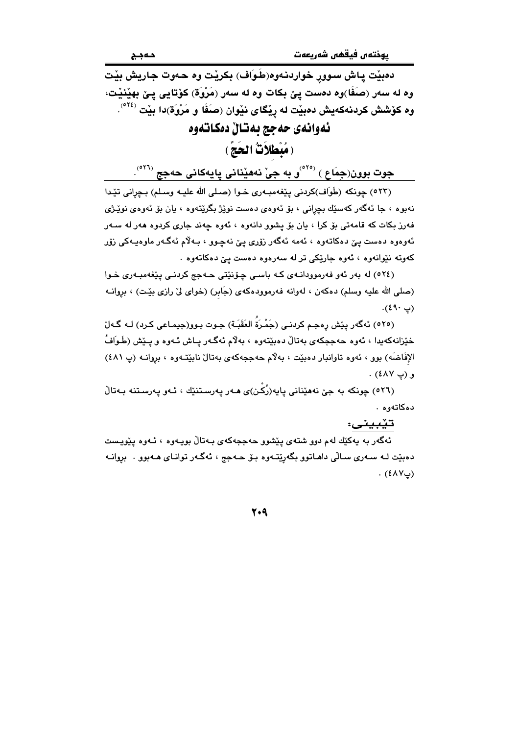دمٻيّت پاش سوور خواردنهوه(طَوَاف) بکريٽت وه حهوت جاريش بيّت وه له سەر (صَفَا)وه دەست پِێ بکات وه له سەر (مَرْوَة) کۆتايى پێ بهێنێت، وه کۆشش کردنهکهیش دهبێت له رِیٚگای نیّوان (صَفَا و مَرْوَة)دا بیّت <sup>(۲٤)</sup>. ئەوانەي حەجج بەتان دەكاتەوە

( مُبْطَلاَتْ الحَجّ )

جوت بوون(جِمَاع ) <sup>(٥٢٥)</sup>و به جيّ نههيّناني پايهکاني حهجج <sup>(٥٢٦)</sup>.

(٥٢٣) چونكه (طَوَاف)كردني يێغهمبـهري خـوا (صـلي الله عليـه وسـلم) بـچراني تێدا نهبوه ، جا ئەگەر كەسێك بچرانى ، بۆ ئەوەي دەست نوێژ بگرێتەوە ، يان بۆ ئەوەي نوێـژى فهرز بکات که قامهتی بۆ کرا ، يان بۆ يشوو دانهوه ، ئهوه چهند جاری کردوه ههر له سـهر ئەوەوە دەست يېّ دەكاتەوە ، ئەمە ئەگەر زۆرى يېّ نەچىوو ، بـەلاّم ئەگـەر ماوەيـەكى زۆر کەوتە نێوانەوە ، ئەوە جارێکى تر لە سەرەوە دەست يێ دەكاتەوە ٠

(٥٢٤) له بهر ئهو فهرموودانهي كه باسي چۆنێتى حـهجم كردنـى يێغهمبـهرى خـوا (صلى الله عليه وسلم) دهكهن ، لهوانه فهرموودهكهى (جَابِرٍ) (خواى ليِّ رازي بيِّت) ، بروانـه  $\cdot$ (ي ۹۰).

(٥٢٥) ئەگەر يېش رەجم كردنـي (جَمْرَةُ العَقَبَـة) جـوت پيوو(جيمـاعي كـرد) لـه گـەلِّ خێزانهکهبدا ، ئەوە حەججکەی بەتالْ دەبێتەوە ، بەلام ئەگـەر يـاش ئـەوە و يـێش (طَـوَافُ الإفَاضَه) بوو ، ئەوە تاوانبار دەبيّت ، بەلام حەججەكەي بەتالْ نابيّتەوە ، بروانـه (پ ٤٨١) و (پ ٤٨٧) .

(٥٢٦) چونکه به جيّ نههێناني پايه(رُکَن)ی هـهر پهرسـتنێك ، ئـهو پهرسـتنه بـهتالّ دەكاتەوە .

تێبيني:

ئەگەر بە يەكێك لەم دوو شتەی يێشوو حەججەكەی بـەتاڵ بويـەوە ، ئـەوە پێويـست دهبێت لـه سـهري سـالّي داهـاتوو بگهرێتـهوه بـۆ حـهجج ، ئهگـهر توانـاي هـهبوو . بروانـه  $(LY\lambda)$ .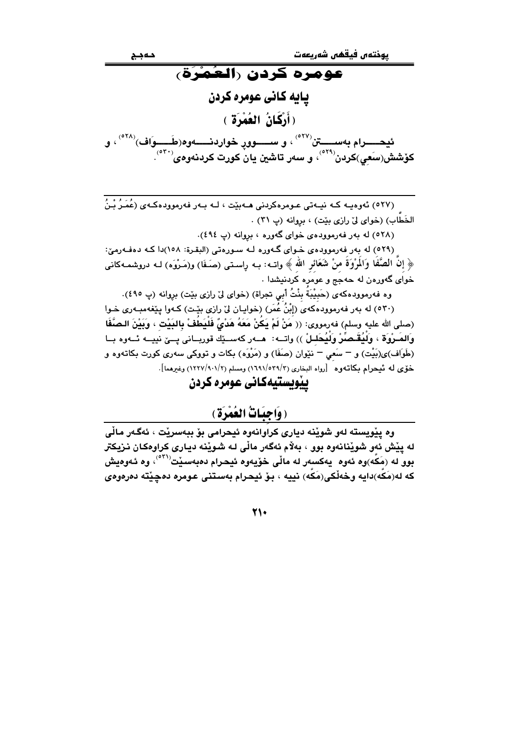# عومره كردن رالعُمْرَة، يايه كاني عومره كردن (أَرْكَانُ العُمْرَة ) ئيحـــــرام بەســــــتن<sup>(٥٢٧)</sup> ، و ســــــوو<sub>ل</sub> خواردنـــــــەوە(طَــــِــوَاف)<sup>(٥٢٨)</sup> ، و كۆشش(سَعِي)كردن<sup>(°۲۹</sup>ْ، و سەر تاشين يان<sup>ْ</sup> كورت كردنەوەي<sup>(°۳۰</sup>ْ).

(٥٢٧) ئەوەيــە كــە نيــەتى عـومرەكردنى ھــەبێت ، لــە بــەر فەرموودەكـەي (عُمَـرُ بْـنُ الخَطَابِ) (خوای ليّ رازی بيّت) ، بروانه (پ ٣١) .

(٥٢٨) له بهر فهرموودهى خواى گهوره ، بروانه (پ ٤٩٤).

(٥٢٩) له بهر فهرموودهي خواي گهوره لـه سـورهتي (البقرة: ١٥٨)دا كـه دهفـهرميّ: ﴿ إِنَّ الْصَّفَا وَالْمِرْوَةُ مِنْ شَعَائِرِ الله ﴾ واتــه: بـه راسـتي (صَـفَا) و(مَـرْوَه) لـه دروشمـهكاني خوای گهورهن له حهجج و عومره کردنیشدا .

وه فهرموودهكهي (حَبِيْبَةٌ بِنْتُ أَبِي تجراة) (خواي ليّ رازي بيّت) بروانه (پ ٤٩٥).

(٥٣٠) له بهر فهرموودهکهي (إِبْنُ عُمَرٍ) (خوايـان ليّ رازي بيّـت) کـهوا پيّغهمبـهري خـوا (صلى الله عليه وسلم) فهرمووى: (( مَنْ لَمْ يَكُنْ مَعَهُ هَدْىٌ فَلْيَطُفْ بِالبَيْت ، وَبَيْنَ الـصَّفَا وَالصَّرْوَةِ ، وَلَيُقَـصَّنْ وَلَيُحَلَّـلْ )) واتــه: ۖ هــهر كهســێك قوريــاني يــيّ نييــه ئــهوه بــا (طَوَاف)ى(بَيْت) و – سَعى – نێوان (صَفَا) و (مَرْوَه) بكات و تووكي سهري كورت بكاتهوه و خوّى له تيحرام بكاتهوه [رواه البخارى (٢/٥٣٩/٢) ومسلم (٢/٩٠١/١٢٧) وغيرهما].

ييويستيهكاني عومره كردن

### (وَاجِبَاتُ العُمْرَةِ)

وه يێويسته لهو شوێنه دياري کراوانهوه ئيحرامي بۆ ببهسرێت ، ئەگەر ماڵى له پێش ئەو شوێنانەوە بوو ، بەلام ئەگەر مالّى لـه شوێنه دبـارى كراوەكـان نـزيكتر بوو له (مَكَّه)وه ئەوه يەكسەر لە مالّى خۆيەوه ئيحرام دەبەسىيْت<sup>(°°۰</sup>)، وە ئـەوەيش كه له(مَكَه)دايه وخهلْكي(مَكَه) نييه ، بنْ ئيحرام بهستني عومره دهچێته دهرهوهي